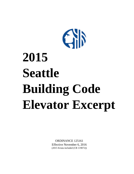

# **2015 Seattle Building Code Elevator Excerpt**

ORDINANCE 125161 Effective November 6, 2016 (2015 Errata included (CB 119072))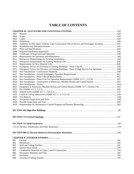# **TABLE OF CONTENTS**

| 3001<br>3002<br>3003<br>3004<br>3005<br>3006<br>3007<br>3008<br>3009<br>3010<br>3011<br>3012<br>3013<br>3014<br>3015<br>3016<br>3017<br>3018<br>3019<br>3020<br>3021<br>3022<br>3023<br>3024<br>3025<br>3026<br>3027<br>3028<br>3029<br><b>CHAPTER 8 INTERIOR FINISHES</b><br>801<br>802<br>241<br>803<br>804<br>805<br>806<br>807 |     |  |
|------------------------------------------------------------------------------------------------------------------------------------------------------------------------------------------------------------------------------------------------------------------------------------------------------------------------------------|-----|--|
|                                                                                                                                                                                                                                                                                                                                    |     |  |
|                                                                                                                                                                                                                                                                                                                                    |     |  |
|                                                                                                                                                                                                                                                                                                                                    |     |  |
|                                                                                                                                                                                                                                                                                                                                    |     |  |
|                                                                                                                                                                                                                                                                                                                                    |     |  |
|                                                                                                                                                                                                                                                                                                                                    |     |  |
|                                                                                                                                                                                                                                                                                                                                    |     |  |
|                                                                                                                                                                                                                                                                                                                                    |     |  |
|                                                                                                                                                                                                                                                                                                                                    |     |  |
|                                                                                                                                                                                                                                                                                                                                    |     |  |
|                                                                                                                                                                                                                                                                                                                                    |     |  |
|                                                                                                                                                                                                                                                                                                                                    |     |  |
|                                                                                                                                                                                                                                                                                                                                    |     |  |
|                                                                                                                                                                                                                                                                                                                                    |     |  |
|                                                                                                                                                                                                                                                                                                                                    |     |  |
|                                                                                                                                                                                                                                                                                                                                    |     |  |
|                                                                                                                                                                                                                                                                                                                                    |     |  |
|                                                                                                                                                                                                                                                                                                                                    |     |  |
|                                                                                                                                                                                                                                                                                                                                    |     |  |
|                                                                                                                                                                                                                                                                                                                                    |     |  |
|                                                                                                                                                                                                                                                                                                                                    |     |  |
|                                                                                                                                                                                                                                                                                                                                    |     |  |
|                                                                                                                                                                                                                                                                                                                                    |     |  |
|                                                                                                                                                                                                                                                                                                                                    |     |  |
|                                                                                                                                                                                                                                                                                                                                    |     |  |
|                                                                                                                                                                                                                                                                                                                                    |     |  |
|                                                                                                                                                                                                                                                                                                                                    |     |  |
|                                                                                                                                                                                                                                                                                                                                    |     |  |
|                                                                                                                                                                                                                                                                                                                                    |     |  |
|                                                                                                                                                                                                                                                                                                                                    |     |  |
|                                                                                                                                                                                                                                                                                                                                    |     |  |
|                                                                                                                                                                                                                                                                                                                                    |     |  |
|                                                                                                                                                                                                                                                                                                                                    |     |  |
|                                                                                                                                                                                                                                                                                                                                    |     |  |
|                                                                                                                                                                                                                                                                                                                                    |     |  |
|                                                                                                                                                                                                                                                                                                                                    |     |  |
|                                                                                                                                                                                                                                                                                                                                    |     |  |
|                                                                                                                                                                                                                                                                                                                                    |     |  |
|                                                                                                                                                                                                                                                                                                                                    |     |  |
|                                                                                                                                                                                                                                                                                                                                    |     |  |
|                                                                                                                                                                                                                                                                                                                                    |     |  |
|                                                                                                                                                                                                                                                                                                                                    |     |  |
|                                                                                                                                                                                                                                                                                                                                    |     |  |
|                                                                                                                                                                                                                                                                                                                                    |     |  |
|                                                                                                                                                                                                                                                                                                                                    |     |  |
|                                                                                                                                                                                                                                                                                                                                    | 808 |  |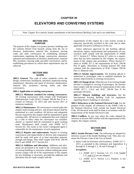# **CHAPTER 30**

# **ELEVATORS AND CONVEYING SYSTEMS**

Note: Chapter 30 is entirely Seattle amendments to the *International Building Code* and is not underlined.

#### **SECTION 3001 PURPOSE**

The purpose of this chapter is to protect persons, buildings and the contents thereof from hazards arising from the use of elevators, dumbwaiters, material lifts, escalators, moving walks and other conveyances by establishing minimum requirements regulating the design, construction, alteration, operation and maintenance of elevators, dumbwaiters, material lifts, escalators, moving walks and other conveyances, and by establishing procedures by which these requirements may be enforced.

#### **SECTION 3002 SCOPE**

**3002.1 General.** This code of safety standards covers the design, construction, installation, operation, inspection testing, maintenance, alteration and repair of elevators, dumbwaiters, material lifts, escalators, moving walks and other conveyances.

**3002.2 Application to existing conveyances.**

**3002.2.1 Minimum standard for existing conveyances.**  All existing conveyances shall comply with Washington Administrative Code (WAC) Chapter 296-96 Part D as it existed on February 15, 2013 and with Section 3011 as minimum standards.

**3002.2.2 Maintenance.** All conveyances covered under this chapter, both existing and new, and all parts thereof shall be maintained in a safe condition. All devices and safeguards that are required by this chapter shall be maintained in good working order. All devices or safeguards that were required by a code in effect when the conveyance was installed, altered, or repaired shall be maintained in good working order. Maintenance shall comply with ASME A17.1 Section 8.6. The owner or the owner's designated agent is responsible for the maintenance of such equipment.

**3002.2.3 Repairs and replacements.** Repairs to existing conveyances and replacements of devices and components shall be made with parts of at least equivalent material, strength and design. They shall comply with WAC 296-96 Part D and ASME A17.1 Section 8.6.

**3002.2.4 Additions and alterations.** Additions and alterations are permitted to be made to the conveyance system of *existing buildings* or structures without making the entire system comply with all of the requirements of this chapter for new buildings or structures, provided the additions and alterations that are made comply with the

requirements of this chapter for a new system, except as otherwise specifically provided in this code and in other applicable retroactive ordinances of the city.

Unless otherwise *approved* by the *building official*, alterations, repairs, replacements and maintenance of conveyances shall comply with the requirements of ASME A17.1 Section 8.7. Where Section 8.7 refers to a requirement that has been amended by this chapter, the requirements of this chapter take precedence. Where Section 8.7 refers to ASME A17.3, the requirements of WAC 296-96 Part D apply. Alterations to existing material lifts shall conform with the requirements of WAC Chapter 296-96 Part C1 Material Lifts.

**3002.2.5 Seismic improvements.** The *building official* is authorized to promulgate rules to establish standards for seismic improvements to existing conveyances.

**3002.2.6 Change of use.** When the use of an existing freight elevator is changed to carrying of passengers, the elevator must comply with the retroactive requirements of this code, ASME A17.1, 2.16.4 and WAC 296-96 Part D for passenger elevators.

**3002.2.7 Historic buildings and structures.** See the *International Existing Building Code* for regulations regarding *historic buildings* or structures.

**3002.3 References to the National Electrical Code.** For the purpose of this chapter, all references in the ASME Code to the National Electrical Code include the Seattle Electrical Code. All electrical work shall be done in accordance with the requirements of the Seattle Electrical Code.

**3002.4 Conflicts.** In any case where the codes adopted by reference in Section 3003 conflict with the requirements of this chapter, this chapter controls.

#### **SECTION 3003 CODES**

**3003.1 Seattle Elevator Code.** The following are adopted by reference as part of the Seattle Building Code. They also constitute the Elevator Code of the City of Seattle.

1. Safety Code for Elevators and Escalators, ASME A17.1- 2013*,* as amended in this ordinance and Appendices A through D, F through J, L, M and P through V.

#### **Exceptions:**

- 1.1. ASME A17.1 Sections 5.4, 5.5, 5.10, ((and)) 5.11, and 5.12 are not adopted.
- 1.2. ASME A17.1 Section 1.2.1, Purpose, is not adopted.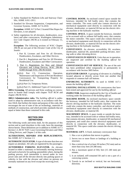- 2. Safety Standard for Platform Lifts and Stairway Chairlifts, ASME A18.1-2011.
- 3. Standard for Elevator Suspension, Compensation, and Governor Systems, ASME A17.6-2010.

**Exception:** ASME A17.6 Part 2 Aramid Fiber Ropes for Elevators, is not adopted.

4. Safety regulations for all elevators, dumbwaiters, escalators and other conveyances, Washington Administrative Code Chapter 296-96 as it existed on February 15, 2013.

**Exception:** The following sections of WAC Chapter 296-96 are not part of the *Elevator Code of the City of Seattle*:

- 1. Part B, Licenses and Fees for all Elevators, Dumbwaiters, Escalators, and Other Devices.
- 2. Part B-1, Regulations and Fees for All Elevators, Dumbwaiters, Escalators and Other Conveyances
- 3. Part C, Regulations for New and Altered Elevators and Lifting Devices, WAC 296-96- 02400 through WAC 296-96-02420.
- 4.((3.)) Part C3, Construction, Operation, Maintenance and Inspection of Private Residence Conveyances for Transporting Property for Residential Use.
- 5.((4.)) Part C4, Temporary Hoists.

 $\underline{6.}((5))$  Part C5, Additional Types of Conveyances.

**3003.2 Licensing.** All persons and firms working on conveyances in Seattle shall comply with chapter 70.87 RCW and chapter 296-96 WAC.

**3003.3 Administrative rules.** The *building official* is authorized to adopt by administrative rule, in accordance with Section 104.8, that furthers the intent and purpose of this code, that encourages the use of state of the art technology, materials or methods of construction, and which provides standards that are equal or better than those contained in this code.

# **SECTION 3004 DEFINITIONS**

The following words and terms shall, for the purposes of this section and as used elsewhere in this code, have the meanings shown herein. These definitions are in addition to ASME A17.1 Section 1.3, RCW 70.87, Laws Governing Elevators and Other Lifting Devices, and Chapter 2 of this code.

**ALTERATIONS, REPAIRS AND REPLACEMENTS.**  See ASME A17.1 Section 1.3.

**AUTOMATIC ELEVATOR.** A type of elevator that does not require an attendant. All calls are registered by the passengers.

**AUTOMOBILE PARKING ELEVATOR.** An elevator located in either a stationary or horizontally moving hoistway and used exclusively for parking automobiles where, during the parking process, each automobile is moved under its own power onto and off the elevator directly into parking spaces or cubicles in line with the elevator and where no persons are normally stationed on any level except the receiving level.

**CONTROL ROOM.** An enclosed control space outside the hoistway, intended for full bodily entry, that contains the motor controller. The room could also contain electrical or mechanical equipment used directly in connection with the elevator, dumbwaiter, or material lift but not the electric driving machine or the hydraulic machine.

**CONTROL SPACE.** A space outside the hoistway, intended to be accessed with or without full bodily entry, that contains the motor controller. This space could also contain electrical or mechanical equipment used directly in connection with the elevator, dumbwaiter, or material lift but not the electric driving machine or the hydraulic machine.

**CONVEYANCE.** An elevator, accessibility lift, escalator, dumbwaiter, material lift, automobile parking elevator, moving walk or other elevating device.

**CONVEYANCES IN SERVICE.** Units that are in operation, are inspected and certified by the *building official* for operation.

**CONVEYANCES OUT OF SERVICE.** The use of the unit has been prohibited either temporarily or permanently in accordance with Section 3005 below.

**ELEVATOR GROUP.** A grouping of elevators in a building located adjacent or directly across from one another that responds to common hall call buttons.

**ENFORCING AUTHORITY.** As used in ASME A17.1 means the *building official*.

**EXISTING INSTALLATIONS.** All conveyances that have been tested and approved for use by the *building official*.

**INSPECTOR.** Inspectors employed by the City of Seattle and working under the direction of the *building official*.

**MACHINE ROOM.** An enclosed machinery space outside the hoistway, intended for full bodily entry, that contains the electric driving machine or the hydraulic machine. The room could also contain the motor controller, and electrical and/or mechanical equipment used directly in connection with the elevator, dumbwaiter, or material lift.

**MACHINERY SPACE.** A space inside or outside the hoistway, intended to be accessed with or without full bodily entry, that contains elevator, dumbwaiter, or material lift mechanical equipment, and could also contain electrical equipment used directly in connection with the elevator, dumbwaiter, or material lift. This space could also contain the electric driving machine.

**MATERIAL LIFT.** A fixed, stationary conveyance that:

- 1. Has a car or platform that moves in guides;
- 2. Serves two or more floors or landings of a building or structure;
- 3. Has a vertical rise of at least 30 inches (762 mm) and no more than sixty feet (18 288 mm);
- 4. Has a maximum speed of fifty feet (15 240 mm) per minute;
- 5. Is an isolated, self-contained lift and is not a part of a conveying system;
- 6. Travels in an inclined or vertical, but not horizontal, direction;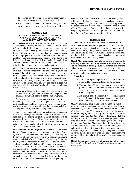- 7. Is operated only by, or under the direct supervision of, an individual designated by the employer; and
- 8. Is installed in a commercial or industrial area, and not in an area that is open to access by the general public.

#### **SECTION 3005 AUTHORITY TO DISCONNECT UTILITIES, TAKE CONVEYANCES OUT OF SERVICE AND INVESTIGATE ACCIDENTS**

**3005.1 Disconnection of utilities.** In addition to the provisions for Emergency Orders provided in Section 102, the *building official* is authorized to disconnect or order discontinuance of any utility service or energy supply to equipment regulated by this code in cases of emergency or where necessary for safety to life and property. Such utility service shall be discontinued until the equipment, appliances, devices or wiring found to be defective or defectively installed are replaced, repaired, or restored to a safe condition. Proper posting and seals shall be affixed to the equipment to prevent inadvertent use.

**3005.2 Conveyances out of service.** A conveyance shall be taken out of service temporarily after the *building official* has inspected the unit for proper parking of the car, securing the hoistway openings, and disconnection of power. A seal and tag shall be placed on the equipment to insure against unauthorized use. A conveyance is permitted to remain in a temporarily out-of-service status for a period not to exceed two years, after which time it shall be placed in a permanently outof-service status.

**Exception:** Elevators that could be returned to service without repair are permitted to remain in a temporary outof-service status with approval of the *building official*.

A conveyance shall be placed permanently out of service by landing the car and counterweights and removing the hoisting cables or fluid lines. Conveyances placed in a permanently out-of-service status shall have the hoistway sealed off for fire protection by securing existing doors.

Conveyances in an out-of-service status either temporarily or permanently are permitted to be placed back into service and classified as an existing installation unless determined to be hazardous by the *building official*. Requirements in effect at that time must be completed before certification and use. No installation or reconnection of hydraulic elevators powered by city water pressure is permitted.

**3005.3 Report and investigation of accidents.** The owner or the owner's authorized agent shall promptly notify the *building official* of each accident involving a conveyance that requires the service of a physician or results in a disability exceeding one day, and shall afford the *building official* every facility for investigating and inspecting the accident. The *building official*  shall without delay, after being notified, make an inspection and shall place on file a full and complete report of the accident. The report shall give in detail all material facts and information available and the cause or causes, so far as they can be determined. The report shall be open to public inspection at all reasonable hours. If an accident involves the failure or destruction of any part of the construction or the operating

mechanism of a conveyance, the use of the conveyance is forbidden until it has been made safe, it has been reinspected and any repairs, changes, or alterations have been *approved* by the department, and a permit has been issued by the *building official*. The removal of any part of the damaged construction or operating mechanism from the premises is forbidden until the *building official* grants permission to do so.

#### **SECTION 3006 INSTALLATION AND ALTERATION PERMITS**

**3006.1 Installation permits.** A permit issued by the *building official* is required to install any elevator, escalator, dumbwaiter, automobile parking elevator, material lift moving walk, accessibility lifts or other conveyance. A separate permit shall be obtained for each conveyance installed regardless of location and/or contract arrangements.

**3006.2 Alteration/repair permits.** A permit is required to make any alterations to existing elevators, escalators, dumbwaiters, automobile parking elevators, material lifts, moving walks or other conveyances. A separate permit shall be obtained for each conveyance altered or relocated regardless of location and/or contract arrangements.

#### **Exceptions:**

- 1. Permits for repairs required by inspection reports are permitted to be combined for a single building.
- 2. The *building official* is permitted to issue a single permit for minor alterations to more than one conveyance that do not require individual retesting of each conveyance.
- 3. No permit shall be required for ordinary repairs made with parts of the same materials, strength and design normally necessary for maintenance.

**3006.3 Temporary use permits.** The *building official* is permitted to issue a temporary use permit for a period not to exceed 60 days to allow completion of installation and passing of the final inspection. Temporary use permits may be renewed by the *building official*. If, at any time during the period of temporary use, the *building official* determines that the building owner is not making adequate progress toward completion of the installation and passing of the final inspection, the *building official* is permitted to withdraw the temporary use permit on 7 days' notice. The *building official* is authorized to forbid further use of the conveyance until a certificate of inspection is obtained. If any conveyance is found to be *unsafe* or fails to comply with a notice of correction, the *building official* is authorized to revoke the temporary use permit.

**3006.4 Expiration, renewal and revocation of permits.**  Sections 106.9 through 106.12 apply to permits required by this chapter.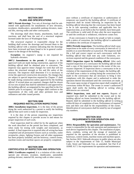# **SECTION 3007 PLANS AND SPECIFICATIONS**

**3007.1 Permit drawings.** Two sets of drawings shall be submitted with applications for installations of new elevators, escalators, dumbwaiters, automobile parking elevators, material lifts, moving walks and other conveyances.

The drawings shall show beams, attachments, loads and reactions, and shall bear the seal of a structural engineer licensed under the laws of Washington State.

The *structural engineer in responsible charge* for the building shall review the drawings and forward them to the *building official* with a notation indicating that the drawings have been reviewed and been found to be in general conformance to the design of the building.

**Exception:** An engineer's stamp is not required for hydraulic elevators.

**3007.2 Amendments to the permit.** If changes to the *approved* work are made during construction, approval of the *building official* shall be obtained prior to execution. The inspector may approve minor changes for work that will not reduce the structural strength or fire and life safety of the structure. The inspector shall determine if it is necessary to revise the *approved construction documents*. No changes that are subject to special inspection required by Chapter 17 shall be made during construction unless approved by the *building official*. If revised plans are required, changes shall be shown on two sets of plans that shall be submitted to and approved by the *building official*, accompanied by fees specified in the *Fee Subtitle* prior to occupancy. All changes shall conform to the requirements of this code and other pertinent laws and ordinances and other issued permits.

# **SECTION 3008 REQUIRED INSTALLATION INSPECTIONS**

**3008.1 Installation inspections.** It is the duty of the person doing the work authorized by a permit to notify the *building official* that such work is ready for inspection.

It is the duty of the person requesting any inspections required by this chapter to provide access to and means for proper inspection of such work.

Final inspection shall be called for by the applicant when the work described on the permit has been completed, and when ready for testing with weights and instruments, as needed. A final inspection is required after all wiring has been completed and all permanent fixtures such as switches, outlet receptacles, plates, lighting fixtures and all other equipment has been properly installed, and the hoistway, control rooms, machine rooms and machine spaces are properly completed.

# **SECTION 3009 CERTIFICATES OF INSPECTION AND OPERATION**

**3009.1 Certificates required.** It is a violation of this code to operate any elevator, escalator, dumbwaiter, automobile parking elevator, material lift, moving walk or other convey-

ance without a certificate of inspection or authorization of temporary use issued by the *building official*. A certificate of inspection shall be issued following an inspection by the *building official* showing that the conveyance has been found to be in safe operating condition and applicable fees for inspection time, as set forth in the *Fee Subtitle*, have been paid. The certificate is valid until 45 days after the next inspection or until the certificate is withdrawn, whichever comes first.

If any conveyance is found to be *unsafe* or fails to comply with a notice of correction, the *building official* is authorized to withdraw the certificate of inspection.

**3009.2 Periodic inspections.** The *building official* shall cause inspections to be made of every conveyance at intervals of 12 months or as soon thereafter as is practical. The inspector shall file a full and correct report on each conveyance with the *building official* that shall note any code violations, corrections required and the general condition of the conveyance.

**3009.3 Inspection report by building official.** After each required inspection of a conveyance the *building official* shall mail a copy of the inspection report to the owner of the conveyance inspected. If inspection shows a conveyance to be in violation of the requirements of this chapter, the *building official* shall issue a notice in writing listing the corrections to be made to the conveyance that are necessary to bring it into compliance with this chapter and is authorized to order the operation thereof discontinued until the corrections are made. The owner upon receipt of inspection report shall complete all corrections within 90 days. The owner or owner's authorized agent shall notify the *building official* in writing when deficiencies are corrected.

**3009.4 Inspections, tests and test reports.** Reports of required tests shall be submitted to the owner and to the *building official* on forms furnished by the *building official*. Reports shall be submitted to the *building official* in writing within 60 days of completion of tests. Performance of required tests and their cost shall be the responsibility of the owner. Identification of conveyances shall be noted by use of assigned city numbers.

#### **SECTION 3010 REQUIREMENTS FOR OPERATION AND MAINTENANCE**

**3010.1 Responsibility for operation and maintenance.** The owner is responsible for the safe operation and maintenance of each device regulated by this chapter. The installation of pipes, ducts, conduits, wiring and the storage of materials not required for the operation of the elevator is prohibited in hoistways, control rooms, machine rooms and machine spaces. See Section 3022. Sidewalk elevators in public places are also subject to the requirements of Title 15, Seattle Municipal Code, Street and Sidewalk Use, as amended. See Part 8 of ASME A17.1 for requirements for operation and maintenance.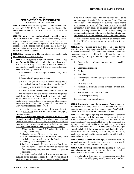#### **SECTION 3011 RETROACTIVE REQUIREMENTS FOR EXISTING INSTALLATIONS**

**3011.1 General.** Existing conveyances shall be made to comply with WAC 296-96 Part D, Regulations for Existing Elevators, Dumbwaiters, and Escalators and the provisions of this section.

**3011.2 Doors to elevator and dumbwaiter machine rooms.**  Doors to elevator and dumbwaiter machine rooms, control rooms and machinery spaces shall be self-closing and selflocking. The lock shall be a spring-type lock arranged to permit the door to be opened from the inside without a key, incapable of being left in the unlocked position, and accessible only by a key from the outside.

**3011.3 Key retainer box.** The key retainer box shall comply with Section 3011.3.1 or 3011.3.2.

**3011.3.1 Conveyances installed between March 1, 1956 and August 14, 2004.** A key retainer box locked and keyed to the standard City access key for elevator access and operation keys shall be provided. The key retainer box shall meet the following standards:

- 1. Dimensions 8 inches high, 6 inches wide, 1 inch deep.
- 2. Material 16 gauge steel welded.
- 3. Color red (unless located in the main lobby above the hall call button, 6 feet nominal above the floor).
- 4. Labeling "FOR FIRE DEPARTMENT USE."
- 5. Lock Ace one-inch cylinder cam lock key #39504.

The key retainer box is to be installed at the designated recall floor above the Phase I recall switch or in the main lobby above the hall call button when no recall feature exists. The key retainer box is to be mounted 6 feet nominal above the floor. The *building official* is permitted to approve other locations upon request.

Key retainer boxes are permitted to comply with Section 3011.3.2 or 3016.9 as an alternative to complying with this section.

**3011.3.2 Conveyances installed between August 15, 2004 through November 5, 2016.** A key retainer box locked and keyed to the secure city access key for elevator and other conveyance access and operation keys shall be provided. The key retainer box shall meet the following standards:

- 1. Minimum dimensions- 6 1/2 inches high, 6 inches wide, 2 inches deep.
- 2. Material at least 16 gauge steel welded.
- 3. Color red (unless located in the main lobby above the hall call button, 6 feet above the floor).
- 4. Labeling "For Emergency Use".
- 5. Lock high security Medeco lock specified by the *building official*. Use of the key shall be restricted to fire, emergency response and elevator inspection personnel.

The key retainer box shall be flush or surface mounted, installed at the designated recall floor above the Phase I recall switch or in the main lobby above the hall call button

if no recall feature exists. The key retainer box is to be mounted approximately 6 feet above the floor. The key retainer box shall be attached to the building so as to be able to withstand a force of 300 lbf/square foot applied horizontally at any point. In buildings with more than one elevator, the key retainer box shall be large enough to accommodate all required keys. The building official may approve other locations and custom box types upon request.

Key retainer boxes are permitted to comply with Section 3016.9 as an alternative to complying with this section.

**3011.4 Elevator access keys.** Keys for access to and for the operation of elevating equipment shall be tagged and retained in the key retainer box. The key retainer box shall contain fire emergency service keys (Phase I and II, one key for each switch) and keys for any of the following that are in the building:

- 1. Doors to the control room, machine room and machine space;
- 2. Secondary level door;
- 3. Pit door;
- 4. Roof door;
- 5. Independent, hospital emergency and/or attendant operation;
- 6. Hoistway access;
- 7. Mechanical hoistway access devices (broken arm, lunar, etc.);
- 8. Miscellaneous switches with locks;
- 9. Fire alarm panel room;
- 10. Sprinkler valve control room.

**3011.5 Dumbwaiter machinery access.** Access doors to dumbwaiter machinery spaces shall be provided with electric contacts and labeled on the exterior side "DANGER - DUMBWAITER MACHINE" in one-inch letters.

**3011.6 Machine space lighting and receptacles.** Permanent electric lighting shall be provided in all control rooms, machine rooms and machinery spaces. The illumination shall be not less than 10 foot-candles (108 lux) at the floor level. The lighting control switch shall be located within easy reach of the access to the room or space. Where practicable, the light control switch shall be located on the lock-jamb side of the access door. Where practical, elevator pits, control rooms, machine rooms and machine spaces shall be provided with an electrical receptacle.

**3011.7 Access to terminal landings.** Mechanical access to terminal landings of elevator hoistways shall be provided in accordance with WAC 296-96-23162 (1).

**3011.8 Wall covering material for passenger cars.** All materials exposed to the car interior and the hoistway shall be metal or shall conform to the following:

(1) Materials in their end use configuration, other than those covered by paragraph (2) below, shall conform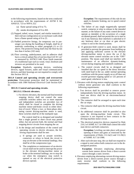to the following requirements, based on the tests conducted in accordance with the requirements of ASTM E 84, ANSI/UL 723 or NFPA 252:

- (a) flame spread rating of 0 to 75;
- (b) smoke development of 0 to 450.
- (2) Napped, tufted, wove, looped, and similar materials in their end use configuration on car enclosure walls shall have a flame spread rating of 0 to 25.
- (3) Padded protective linings, for temporary use in passenger cars during the handling of freight, shall be of materials conforming to either paragraph (1) or (2) above. The protective lining shall clear the floor by not less than 4 inches (102 mm).
- (4) Floor covering, underlayment, and its adhesive shall have a critical radiant flux of not less than 0.45 W/ cm<sup>2</sup> as measured by ASTM E 648. Floor finish materials of a traditional type such as wood, vinyl, linoleum and terrazzo are permitted to be used.

**Exception:** Handrails, operating devices, ventilating devices, signal fixtures, audio and visual communication devices, and their housings are not required to comply with this Section 3011.8.

**3011.9 Control and operating circuits and overcurrent protection.** Overcurrent protection shall be maintained in accordance with *1984 National Electrical Code* Section 620- 61.

# **3011.9.1 Control and operating circuits.**

#### **3011.9.1.1 Electric elevators.**

1. For electric elevators, the normal and final terminal stopping device shall not control the same controller switches unless two or more separate and independent switches are provided, two of which shall be closed to complete the driving machine motor-and-brake circuit in either direction of travel. Where a two- or three-phase alternating current driving-machine motor is used, these switches shall be of the multipole type.

The control shall be so designed and installed that a single ground or short circuit may permit either, but not prevent both, the normal and final stopping device circuits from stopping the car.

- 2. In the design and installation of the control and operating circuits in electric elevators, the following requirements shall be met:
	- a. If springs are used to actuate switches, contactors or relays to break the circuit to stop an elevator at the terminal landings, they shall be of the compression type.
	- b. The completion or maintenance of an electric circuit shall not be used to interrupt the power to the elevator driving-machine motor or brake at the terminal landings, nor to stop the car when the emergency stop switch is opened or any of the electrical protective devices operate.

**Exception:** The requirements of this rule do not apply to dynamic braking, nor to speed control switches.

- c. The failure of any single magnetically operated switch, contactor or relay to release in the intended manner, or the failure of any static control device to operate as intended, or the occurrence of a single accidental ground, shall not permit the car to start or run if any hoistway door interlock is unlocked or if any hoistway door or car door or gate electric contact is not in the closed position.
- d. If generator-field control is used, means shall be provided to prevent the generator from building up and applying sufficient current to the elevator driving-machine motor to move the car if the elevator motor control switches are in the "OFF" position. The means used shall not interfere with maintenance of an effective dynamic-braking circuit during stopping and standstill conditions.
- e. The control circuits shall be so designed and installed that the car speed in the down direction with rated load in the car, under normal operating conditions with the power supply on or off does not exceed governor tripping speed or 125 percent of rated speed, whichever is less.
- 3. Elevators with driving motors employing static control without motor generator sets shall conform to the following requirements:
	- a. Two devices shall be provided to remove power independently from the driving-machine motor. At least one device shall be an electromechanical contactor.
	- b. The contactor shall be arranged to open each time the car stops.
	- c. The contactor shall open the driving-machine brake circuit.
	- d. An additional contactor shall be provided to also open the driving-machine brake circuit. This contactor is not required to have contacts in the driving-machine motor circuit.
	- e. The electrical protective devices required by Rule 210.2 of ASME A17.1d-1986 shall control the solid state device and both contactors.

**Exception:** Leveling can take place with power opening of doors and gates as restricted by the requirements of Rules 112.2a(1) and 112.2b(1) of ASME A17.1d-1986.

f. After each elevator stop, the car shall not respond to a signal to start unless both contactors are in the deenergized position.

**Exception:** Elevators employing alternatingcurrent hoist motors driven from a direct-current source through a static inverter.

4. Elevators employing alternating-current driving motors driven from a direct-current power source through a static inverter shall conform to the following requirements: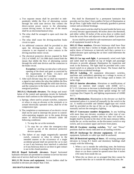- a. Two separate means shall be provided to independently inhibit the flow of alternating current through the solid state devices that connect the direct-current power source to the alternatingcurrent driving motor. At least one of the means shall be an electromechanical relay.
- b. The relay shall be arranged to open each time the car stops.
- c. The relay shall cause the driving-machine brake circuit to open.
- d. An additional contactor shall be provided to also open the driving-machine brake circuit. This contactor is not required to have contacts in the driving-machine motor circuit.
- e. The electrical protective devices required by Rule 210.2 of ASME A17.1d-1986 shall control both the means that inhibit the flow of alternating current through the solid state devices and the contactors in the brake circuit.

**Exception:** Leveling can take place with power opening of the doors and gates as restricted by the requirements of Rules 112.2a(1) and 112.2b(1) of ASME A17.1d-1986.

f. After each elevator stop, the car shall not respond to a signal to start unless the relay that inhibits the flow of alternating current through the solid state devices, and the contactors in the brake circuit, are in the deenergized position.

**3011.9.1.2 Hydraulic elevators.** The design and installation of the control and operating circuits for hydraulic elevators shall conform to the following requirements:

- a. Springs, where used to actuate switches, contactors or relays to stop an elevator at the terminals or to actuate electrically operated valves, shall be of the compression type.
- b. The completion or maintenance of an electric circuit shall not be used to interrupt the power to controlvalve-operating magnets nor to the pump driving motor of electro-hydraulic elevators under the following conditions:
	- 1. To stop the car at the terminals.
	- 2. To stop the car when the emergency-stop switch or any of the electrical protective devices operate.
- c. The failure of any single magnetically operated switch, contactor or relay to release in the intended manner or the occurrence of a single accidental ground shall not permit the car to start or run if any hoistway door interlock is unlocked or if any hoistway-door or car-door or gate contact is not in the closed position.

**3011.10 Roped hydraulic elevators.** Roped horizontal hydraulic elevators are permitted to continue in service but once taken out of service shall not be reactivated.

**3011.11 Pit Access and equipment.** Access ladders shall be installed in elevator pits deeper than 3 feet.

Pits shall be illuminated by a permanent luminaire that provides not less than 5 foot-candles (54 lux) of illumination at the pit floor. Light bulbs shall be externally guarded to prevent contact and accidental breakage.

Pit light control switches shall be located inside the hoist-way of every elevator approximately 48 inches above the threshold, and either within 18 inches of the access door or within reach from the access floor and adjacent to the pit ladder if provided.

Access shall be provided for safe maintenance and inspection of all equipment located in the pit.

**3011.12 Floor numbers.** Elevator hoistways shall have floor numbers not less than 2 inches in height, placed on the walls and/or doors of hoistways at intervals such that a person in a stalled elevator upon opening the car door could determine the floor position.

**3011.13 Car top work light.** A permanently wired work light and outlet shall be installed on top of freight and passenger elevators to provide adequate illumination for inspection and work in the hoistway. The light shall be provided with a nonkeyed switch in or adjacent to the fixture. The fixture shall be protected from accidental breakage.

**3011.14 Labeling.** All equipment (disconnect switches, machines and controllers) operating on a voltage in excess of 250 volts shall be labeled for the voltage used in letters 3/4 inches high.

**3011.15 Interior alterations.** Alterations or modifications of elevator car interiors shall comply with ASME A17.1, 8.7.2.15.2 (increase or decrease in deadweight of car), Building Code requirements concerning flame spread ratings for wall coverings (See Chapter 8), and lighting requirements of ASME A17.1.

**3011.16 Illumination.** Illumination in the elevator car shall be maintained unless it is turned off manually by the switch in the car. A readily-accessible and labeled toggle-type test switch shall be provided on the top of the car to cut lighting power manually and test the emergency lighting.

**3011.17 Conveyance number designation.** In any building with more than one elevator, escalator or other type of conveyance a designating number (not less than two inches in height) shall be located at the door of the main entrance lobby, inside the car, on the machine, on the disconnect switch or stop switch, and on escalator upper and lower front plates.

**3011.18 Escalator starting switches.** "Up" and "Down" positions shall be clearly indicated on all starting switches.

**3011.19 Anchorage for elevator equipment.** All elevator equipment, hydraulic or cable type shall be anchored.

**3011.20 Restricted opening of doors.** All existing passenger elevators in Group R-1 hotels and dormitory buildings shall comply with the following.

- 1. When a car is outside the unlocking zone, the hoistway doors or car doors shall be so arranged that the hoist-way doors or car doors cannot be opened more than 4 inches (102 mm) from inside the car.
- **2.** When the car doors are so arranged that they cannot be opened when the car is outside the unlocking zone, the

#### **2015 SEATTLE BUILDING CODE 645**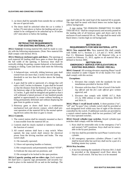- 3. car doors shall be openable from outside the car without the use of special tools.
- 4. The doors shall be unlocked when the car is within 3 inches (76 mm) above or below the landing and are permitted to be configured to be unlocked up to 18 inches (457 mm) above or below the landing.

# **SECTION 3012 RETROACTIVE REQUIREMENTS FOR EXISTING MATERIAL LIFTS**

**3012.1 General.** Existing material lifts shall be made to comply with the following requirements. (Note: New material lifts shall comply with Section 3013).

**3012.2 Hoistway enclosure gates and doors.** The openings at each material lift landing shall have gates or doors that guard the full width of the opening. A hoistway door shall be vertically sliding, bi-parting, counter-balanced, or horizontally swinging or sliding. Gates and doors shall meet the following requirements:

- 1. A balanced-type, vertically sliding hoistway gate shall extend from not more than 2 inches from the landing threshold to not less than 66 inches above the landing threshold.
- 2. A gate shall be solid or openwork of a design that will reject a ball 2 inches in diameter. A gate shall be located so that the distance from the hoistway face of the gate to the hoistway edge of the landing sill is not more than 2 1/2 inches. A gate shall be designed and guided so that it will withstand a lateral pressure of one hundred pounds applied at approximately its center without breaking or being permanently deformed and without displacing the gate from its guides or tracks.
- 3. Hoistway gates or doors shall have a combination mechanical lock and electric contact, which shall prevent operation of the material lift by the normal operating devices unless the door or gate is closed.

#### **3012.3 Controls.**

- 1. The control station shall be remotely mounted so that it is inaccessible from the material lift car.
- 2. Controls shall be clearly marked or labeled to indicate the function of control.
- 3. All control stations shall have a stop switch. When opened, the stop switch shall remove the electrical power from the driving machine and brake. The stop switch shall:
	- 3.1 Be manually operated;
	- 3.2 Have red operating handles or buttons;
	- 3.3 Be conspicuously and permanently marked "STOP";
	- 3.4 Indicate the stop and run positions; and
	- 3.5 Be arranged to be locked in the open position.

**3012.4 Capacity posting and no-riders sign.** Each material lift shall have a capacity sign permanently and securely fastened in place in the material lift car and on the landings. The

sign shall indicate the rated load of the material lift in pounds. The sign shall be metal with black letters two inches high on yellow background.

A sign stating "NO PERSONS PERMITTED TO RIDE THIS DEVICE" shall be conspicuously and securely posted on the landing side of all hoistway gates and doors and in the enclosure of each material lift car. The sign shall be metal with black letters 2 inches high on red background.

#### **SECTION 3013 REQUIREMENTS FOR NEW MATERIAL LIFTS**

**3013.1 New material lifts.** New material lifts shall comply with ASME A17.1, Sections 2.7, 2.8 and 3.7. WAC 296-96 Part C1, Minimum Standards for All Material Lifts, as it existed on February 15, 2013, applies to all material lifts as defined in Section 3004.

#### **SECTION 3014 EMERGENCY SERVICE FOR ELEVATORS IN EXISTING BUILDINGS - PHASE I RECALL**

**3014**.**1 General.** All existing elevators requiring Phase I recall when installed or under Chapter 93 of the *Seattle Fire Code*  shall comply with this section.

#### **Exceptions:**

- 1. Elevators that comply with the standards for new installations provided in Section 3018;
- 2. Elevators with less than 25 feet of travel if the *building official* and the *fire code official* give written approval; and
- 3. Elevators that comply with ASME A17.1, Rule 211.3a 1984 edition or later and Sections 3014.10 and 3014.11.

**3014.2 Phase I recall keyed switch.** A three-position ("on", "off" and "by-pass") key cylinder switch shall be provided at each designated level within easy line of sight of the elevator controlled by the switch. If additional switches are provided in a central control station they shall be two position ("off" and "on") key-operated switches.

**3014.3 Keyed cylinder-type switches.** Keyed cylinder-type switches shall comply with the following:

- 1. Keys shall be removable only in the emergency ("on") and normal ("off") positions. Keys shall not be removable in the by-pass position.
- 2. One key shall be provided for each Phase I switch or key cylinder.
- 3. All emergency operation cylinders (Phases I and II) shall be keyed alike but such key shall not be a part of a building master key system.

#### **3014.4 Key location.**

1. A key box meeting the standards of Section 3011.3 shall be provided at the designated recall floor above the Phase I recall switch. The key box is to be mounted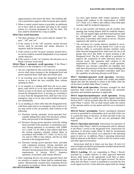approximately 6 feet above the floor. The *building official* is permitted to approve other locations upon request.

2. When a central control station is provided, an additional set of keys shall be provided and hung in the control station in a location designated by the fire chief. The keys shall be identified by a ring or paddle.

#### **3014.5 Key switch functions.**

- 1. The three positions of the switch shall be marked "bypass", "off" and "on".
- 2. If the switch is in the "off" position, normal elevator service shall be provided and smoke detectors, if required, shall be functional.
- 3. If the switch is in the "by-pass" position, normal elevator service shall be restored independent of any required smoke detectors.
- **4.** If the switch is in the "on" position, the elevators are in Phase I elevator recall mode.

**3014.6 Phase I automatic recall operation.** If the Phase I recall switch is in the emergency ("on") position:

- 1. All cars controlled by this switch that are on automatic service shall return nonstop to the designated level and power-operated doors shall open and remain open.
- 2. A car traveling away from the designated level shall reverse at or before the next available floor without opening its doors.
- 3. A car stopped at a landing shall have the in-car emergency stop switch or in-car stop switch rendered inoperative as soon as the doors are closed and the car starts toward the designated level. A moving car, traveling to or away from the designated level, shall have the in-car emergency stop or in-car stop switch rendered inoperative immediately.
- 4. A car standing at a floor other than the designated level, with doors open and in-car emergency stop switch or incar stop switch in the run position, shall conform to the following:
	- 4.1 Elevators having automatic power-operated horizontally sliding doors shall close the doors without delay and proceed to the designated level;
	- 4.2 Elevators having power-operated vertically sliding doors provided with automatic or momentary pressure closing operation in accordance with ASME A17.1 Rule 112.3d 1984 or later edition shall have the closing sequence initiated without delay in accordance with ASME A17.1 Rule 112.3d (1), (2), (3), and (5) 1984 or later edition, and the car shall proceed to the designated level;
	- 4.3 Elevators having power-operated doors provided with continuous pressure closing operation per ASME A17.1 Rule 112.3b 1984 or later edition or elevators having manual doors shall conform to the requirements of Section 3014.7. Sequence operation, if provided, shall remain effective
- 5. Door reopening devices for power-operated doors that are sensitive to smoke or flame shall be rendered inoperative. Mechanically actuated door reopening devices not sensitive to smoke or flame shall remain operative. **2015 SEATTLE BUILDING CODE 647**

Car door open buttons shall remain operative. Door closing shall conform to the requirements of ASME A17.1 Rule 112.5 1984 or later edition. Door hold open switches shall be rendered inoperative.

- 6. All car and corridor call buttons and all corridor door opening and closing buttons shall be rendered inoperative. All call register lights and directional lanterns shall be extinguished and remain inoperative. Position indicators, if provided, shall remain in service. All prior registered calls shall be canceled.
- 7. The activation of a smoke detector installed in accordance with Article 93 of the *Seattle Fire Code* in any elevator lobby or associated elevator machine room, other than the designated level, shall cause all cars in all groups that serve that lobby to return nonstop to the designated level. The *fire code official* is permitted to approve the connection of other detection devices to activate recall. The operation shall conform to the requirements of Phase I emergency recall operation. Whenever new elevator controllers are installed, they shall meet all provisions of the then current building and elevator codes. Newly-installed controllers shall have the capability of selecting alternate recall floors.

**3014.7 Attendant-operated recall operation.** Attendantoperated elevators shall be provided with visible and audible signals that alert the operator to return to the lobby when the car has been recalled under Phase I control.

**3014.8 Dual recall operation.** Elevators arranged for dual operation shall conform to all requirements for automatic operation and attendant operation as applicable.

**3014.9 Inspection/maintenance recall operation.** During inspection operation the audible and visible signals required in Section 3014.7 will be actuated when the car has been recalled under Phase I control. The car shall remain under the control of the operator and/or car top station until the car is returned to service.

**3014.10 Nurses' preemption.** Nurses' preemption (hospital service) is permitted to commandeer up to one-half of the cars in a particular bank of elevators. At least one-half of the cars shall respond to Phase I and all cars not preempted shall respond.

**3014.11 Operation instruction.** Instructions for operation of elevators under Phase I shall be incorporated with or adjacent to the Phase I switch at the designated level. Instructions for operation of elevators under Phase II shall be incorporated with or adjacent to the switch, in or adjacent to the operating panel in each car. In addition, Phase I operating instructions shall be adjacent to the Phase I switch in the fire control center and other *approved* locations.

Instructions shall be in letters not less than 1/8 inch (3.2 mm) in height and shall be permanently installed and protected against removal or defacement.

**3014.12 Latching.** All cars responding to Phase I Recall, activated by a smoke detector or other *approved* detection device, shall return to the appropriate recall floor as determined by the first detector recall signal received. No device other than the Phase I switch is permitted to override the first recall signal received. A later detection signal shall not change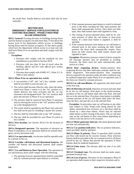the recall floor. Smoke detector activation shall only be reset manually.

#### **SECTION 3015 EMERGENCY SERVICE FOR ELEVATORS IN EXISTING BUILDINGS - PHASE II HIGH RISE IN-CAR OPERATION**

**3015.1 General.** Existing elevators in buildings having floors used for human occupancy located more than 75 feet above the lowest level of fire department vehicle access, or buildings having floors used for human occupancy 35 feet above grade, which lack fire department vehicle access to at least one side shall have Phase II in-car operation and shall comply with this section.

#### **Exceptions:**

- 1. Elevators that comply with the standards for new installations as provided in Section 3019;
- 2. Elevators with less than 25 feet of travel when the *building official* and *fire code official* give written approval; and
- 3. Elevators that comply with ASME A17.1 Rule 211.3c 1984 or later edition.

#### **3015.2 Phase II in-car operation key switch.**

- 1. A two-position ("off" and "on") key cylinder switch shall be provided in each elevator car.
- 2. The switch shall become effective only when the designated level Phase I switch is in the "on" position or a smoke detector has been activated and the car has returned to the designated level. The "on" position shall place the elevator in Phase II in-car operation.
- 3. The elevator shall be removed from Phase II operation only by moving the switch to the "off" position with the car at the designated level.
- 4. The switch shall be operable by the Phase I key and such key shall not be part of a building's master key system.
- 5. The key shall be removable only in the "off" position.
- 6. One key shall be provided for each Phase II switch or key cylinder.

**3015.3 Key location.** See Section 3014.4 for the location of the keys.

**3015.4 Designated operator.** The operation of elevators on Phase II emergency in-car operation shall be by trained emergency service personnel only.

**3015.5 Car operation only.** An elevator shall be operable only by a person in the car.

**3015.6 Corridor call buttons and directional lanterns.** All corridor call buttons and directional lanterns shall remain inoperative.

**3015.7 Car and Hoistway Door Operation.** The operation of car and hoistway doors shall comply with the following:

1. The opening of power-operated doors shall be controlled only by constant-pressure open buttons or switches.

- 2. If the constant-pressure open button or switch is released prior to the doors reaching the fully open position, the doors shall automatically reclose. Once doors are fully open, they shall remain open until signaled to close.
- 3. The closing of power-operated doors shall be by constant pressure of either the call button or door-close button. If a door-close button is supplied, it shall be operable.
- 4. If the constant-pressure close button or car call button is released prior to the doors reaching the fully closed position, the doors shall automatically reopen. Once doors are fully closed, they shall remain closed until signaled to open.

**Exception:** Momentary pressure control of doors using the sill trip-type operator may be permitted as existing; however, the doors must not open automatically upon arrival at a floor.

**3015.8 Door reopening devices.** Smoke-sensitive door reopening devices and door hold-open switches shall be rendered inoperative. Non-smoke-sensitive door reopening devices required to be operative under all other conditions may be rendered inoperative under Phase II in-car operation only if the doors are closed by constant pressure.

**3015.9 Car call cancellation.** All registered calls shall cancel at the first stop.

**3015.10 Direction of travel.** Direction of travel and start shall be by the car call buttons. With doors in the closed position, actuation of the car call button shall select the floor, and start the car to the selected floor. If no door-close button is available, constant pressure of the car call button shall select the floor, close the door, and start the car to the selected floor.

**Exception:** On proximity-type car call buttons or any other type subject to false firing (calls being placed by line spikes, intermittent loss of power, etc.), the doors shall be closed by a door-close button. Floors may be selected either before or after closing of the doors. The car will start only on the call button or door close button depending on which is the last device to be actuated.

**3015.11 Motor generator time out.** The motor generator shall not time out automatically.

**3015.12 Car position indicators.** The car position indicators, when provided, shall be operative.

**3015.13 Phase II priority.** Phase II operation shall override any floor calls keyed out for security reasons. Floor selection buttons shall be provided in the car to permit travel to all floors served by the car. Means that prevent the operation of these buttons shall be rendered inoperative.

**3015.14 False starts.** The elevator shall not start if no calls registered.

**3015.15 Terminal runs.** The elevator shall not make unprogrammed terminal runs.

**3015.16 Loss of power.** Elevators on fire emergency Phase II car operation shall remain in their respective locations and in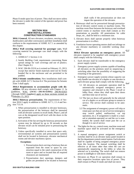Phase II mode upon loss of power. They shall not move unless the elevator is under the control of the operator and power has been restored.

#### **SECTION 3016 NEW INSTALLATIONS - CONSTRUCTION STANDARDS**

**3016.1 General.** All new elevators, escalators, moving walks, dumbwaiters and other conveyances and their installation shall conform to the requirements of ASME A17.1 as amended by this chapter.

**3016.2 Wall covering material for passenger cars.** Wall covering material for passenger cars shall comply with the following:

- 1. ASMEA17.1 Section 2.14.
- *2. Seattle Building Code* requirements concerning flame spread ratings for wall coverings and use of plastics. (See Chapter 8.)
- 3. WAC 296-96-23216 as it existed on February 15, 2013, except that interior finish materials need not be firmly bonded flat to the enclosure and are permitted to be padded.

**3016.3 Seismic considerations.** New installations shall comply with ASME A17.1 Section 8.4. The provisions for Seismic Zone 3 shall apply.

**3016.4 Requirements to accommodate people with disabilities.** All new elevators shall comply with Chapter 11. In addition, <u>WAC</u> ((<del>WAC 296-96-02400</del>)) 296-96-02425 through 02605 ((applies)) apply as those sections existed on February 15, 2013.

**3016.5 Hoistway pressurization.** The requirements of Section 3016.5 apply in addition to ASME A17.1, 2.1.4 and Section 713.14.

- 1. When pressurization is installed in elevator hoistways, the pressurization of the hoistway shall be measured with all elevator systems in recall mode, Phase I, and all cars at the designated recall level with the doors in the open position.
- 2. Activation of the fan serving the hoistway pressurization system may be delayed by up to 30 seconds so that elevator recall can be initiated prior to pressurizing the hoistway.
- 3. Unless specifically installed to serve that space only, environmental air systems and pressurization systems shall not be located in hoistways, elevator mechanical rooms and elevator machinery spaces.

#### **Exceptions:**

- 1. Pressurization ducts serving a hoistway that are separated from the room or space by construction equal to the rated construction of the room or space and so located that all required clearances are maintained.
- 2. Pressurization duct openings, dampers and grilles are permitted to be located in hoistway

shaft walls if the pressurization air does not impair the operation of the elevator.

- 4. Hoistways shall not be pressurized through pressurization of elevator control rooms or machine rooms. The machine room floor between the hoistway and overhead control rooms or machine room shall contain as few penetrations as possible. All penetrations for cable drops, etc., shall be held to a minimum size.
- 5. Elevator doors shall operate properly when hoistway pressurization is in effect.
- 6. Ventilation louver operating motors shall not infringe on any elevator machinery or controller working clearances.

**3016.6 Elevator operation on emergency power.** All elevators required to be supplied with emergency power shall comply with the following:

- 1. Each elevator shall be transferable to the emergency power supply system.
- 2. Emergency power supply systems capable of handling all elevators on the premises need no sequencing or switching other than the possibility of staggering the restarting of the generators.
- 3. Emergency power supply systems whose capacity can only handle one elevator of a duplex or one elevator in each elevator group shall comply with the following.
	- 3.1 All elevators on automatic operation shall be automatically assigned emergency power in sequence and returned to the Phase I recall or lobby floor, where they shall open their doors and then time out of service.
	- 3.2 The last car down will generally be the selected car of a duplex or an elevator group to remain in service. The service shall continue to be automatic.
	- 3.3 The assignment of emergency power will skip or rotate past cars that are out of service (emergency stop switch pulled, malfunction, car top operation, etc.). If assignment is made to a manual or attendant-operated car and the car is unattended, the system shall rotate past the car as though it is out of service.
- 4. The lights for the car, control room, machine room and machine space shall be activated on the emergency system.
- 5. A manual emergency power assignment switch or switches shall be in an elevator status panel located in the fire department central control station. Each elevator shall be capable of being assigned emergency power from this location. The manual switching shall be effective at all times other than when the cars are automatically sequencing to the lobby or when the selected car is traveling. The switch shall not remove power in midflight or with doors closed.
- 6. Elevators on Phase II car operation shall remain in their respective locations upon loss of power. They shall remain in Phase II mode and shall not move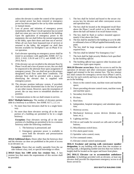unless the elevator is under the control of the operator and normal power has been restored or emergency power has been assigned to the car by either automatic or manual means.

- 7. Loss of power and initiation of emergency power immediately after Phase I recall operation has occurred shall not cause any cars to be stranded in the building. Upon the application of emergency power to the equipment, the cars shall follow the normal sequencing to the lobby, open their doors and time out of service. When all cars have been bypassed (out of service) or returned to the lobby, the assigned car shall then become available for firefighter's use on Phase II incar operation.
- 8. Each elevator operating on emergency power shall be tested in accordance with applicable ASME A17.1a-2013, 2.16.8, 2.26.10 and 2.27.2, and ASME A17.2- 2014, Part 6.
- 9. If the elevator cars are recalled to the alternate floor by Phase I recall and a loss of power occurs, the cars shall be sequenced to the alternate floor upon assignment of emergency power. The cars shall not go to the primary designated recall floor under these conditions. The alternate floor shall be provided with a means of identifying the elevator that is supplied with emergency power.
- 10. The elevator position indicator system, if provided, shall not become disoriented due to the loss of power or any other reason. However, upon the resumption of power, the car may move to reestablish absolute car position.
- 11. Communications to the car shall remain in service.

**3016.7 Multiple hoistways.** The number of elevators permissible in a hoistway is as follows. See ASME A17.1, 2.1.1.4.

- 1. No more than four elevators shall be in a single hoistway.
- 2. No more than three elevators serving all or the same portion of a building are permitted to be in a single hoistway.

**Exception:** Four elevators serving all or the same portions of a building are permitted to be in a common hoistway under the following conditions:

- 1. The hoistway is pressurized; and
- 2. Emergency generator power is available to serve both the elevators and pressurization equipment.

**3016.8 Additional doors.** Doors other than the hoistway door and the elevator car door are prohibited at the point of access to an elevator car.

**Exception:** Doors that are readily openable from the car side without a key, tool, or special knowledge or effort.

**3016.9 Knox box 1400 series key retainer box.** A key retainer box that meets the requirements of this section shall be provided.

- 1. The box shall be locked and keyed to the secure city access key for elevator and other conveyance access and operation keys.
- 2. The box shall be located at the designated recall floor above the Phase I recall switch or in the main lobby above the hall call button if no recall feature exists.
- 3. The box shall be flush or surface mounted approximately 6 feet above the floor.
- 4. The box shall be attached to the building so as to be able to withstand a force of 300 psf applied horizontally at any point.
- 5. The box shall be large enough to accommodate all required keys.
- 6. The box shall be labeled "For Emergency Use."
- 7. The lock shall be high security Medeco lock specified by the *building official*.
- 8. The *building official* may approve other locations and custom box types upon request.

**3016.10 Elevator access keys.** Keys for access to and for the operation of elevator and other conveyance equipment shall tagged and retained in the key retainer box. The key retainer box shall contain fire emergency service keys (Phase I and II, one key for each switch) and keys to all of the following that are in the building:

- 1. Doors to the control room, machine room and machine space:
- 2. Doors preceding elevator control room, machine room, and machine space;
- 3. Secondary level door;
- 4. Pit door;
- 5. Roof door;
- 6. Independent, hospital emergency and attendant operation;
- 7. Hoistway access;
- 8. Mechanical hoistway access devices (broken arm, lunar, etc.);
- 9. Lighting and fan;
- 10. Fob or card reader for secured car calls and or hall call buttons;
- 11. Miscellaneous switch keys;
- 12. Fire alarm panel room;
- 13. Sprinkler valve control; room;
- 14. Fire command center;
- 15. Elevator central control station/panel.

**3016.11 Escalator and moving walk conveyance number designation.** In any building with more than one escalator or moving walk, a designating number (not less than two inches in height) shall be located on the upper and lower front plates.

**[W] 3016.12 Elevator car to accommodate ambulance stretcher.** In buildings provided with an elevator, at least one elevator shall provide fire department emergency access to all floors served in: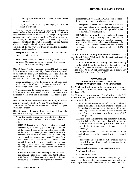- 1. buildings four or more *stories* above or below *grade plane*, and
- 2. any R-1, R-2 or I occupancy building regardless of the number of *stories*.

The elevator car shall be of a size and arrangement to accommodate a 24-inch by 84*-*inch (610 mm by 2134 mm) ambulance stretcher with not less than 5-inch (127 mm) radius corners, in the horizontal, open position. The elevator shall be identified by the international symbol for emergency medical services (star of life). The symbol shall not be less than 3 inches (76 mm) in height and shall be placed inside on

п

both sides of the hoistway door frame on both the designated level and the alternate level.

**Exception:** Private residence elevators are not required to comply with this section.

**Note**: The stretcher-sized elevator car may also serve as an *accessible means of egress* as required by Section 1009.2.1 of the *Seattle Building Code*.

**3016.13 Signs.** A sign complying with ASME A17.1 2.27.9 shall be posted in the elevator lobby of every elevator equipped for firefighters' emergency operation. The signs shall be located above each hall call fixture noting that the elevators will be recalled to the building lobby on fire alarm.

**Exception:** If *approved* by the *building official*, signs need not be posted in lobbies at the main egress level if the means of egress are obviously identifiable.

A sign indicating the number or alphabet of each elevator shall be posted and maintained in the elevator lobby at the designated recall level and at alternate recall floors, if provided.

**3016.14 Fire service access elevators and occupant evacuation elevators.** See Section 403 and ASME A17.1 for provisions related to fire service access elevators and occupant evacuation elevators.

**3016.15 Energy efficiency.** Elevator systems shall comply with the Seattle Energy Conservation Code.

**Note:** The Seattle Energy Code includes the following provisions for energy efficiency of elevators and escalators.

**C405.9.1 Elevator cabs.** For the luminaires in each elevator cab, not including signals and displays, the sum of the lumens divided by the sum of the watts shall be no less than 35 lumens per watt. Ventilation fans in elevators that do not have their own air conditioning system shall not consume more than 0.33 watts/cfm at the maximum rated speed of the fan. Controls shall be provided that will de-energize ventilation fans and lighting systems when the elevator is stopped, unoccupied and with its doors closed for over 15 minutes.

**C405.9.2 Escalators and moving walks.** Escalators and moving walks shall comply with ASME A17.1/ CSA B44 and shall have automatic controls configured to reduce speed to the minimum permitted speed in

accordance with ASME A17.1/CSA B44 or applicable local code when not conveying passengers.

**Exception**: A power factor controller that reduces operating voltage in response to light loading conditions  $((\text{may})$  is permitted to be provided in lieu of the variable speed function.

**C405.9.3 Regenerative drive.** An escalators designed either for one-way down operation only or for reversible split shall have a variable frequency regenerative drive that supplies electrical energy to the building electrical system when the escalator is loaded with passengers whose combined weight exceeds 750 pounds.

**3016.16 Elevator landing illumination.** Elevators shall comply with ASME A17.1, 2.11.10.2 Illumination at Landing Sills, as amended below.

**2.11.10.2 Illumination at Landing Sills.** The building corridors shall be so lighted that the illumination at the landing sills, when an elevator is in service, shall be not less than 100 lx (10 fc). Illumination under emergency power shall comply with Section 1008.

### **SECTION 3017 NEW INSTALLATIONS - GENERAL EMERGENCY OPERATION REQUIREMENTS**

**3017.1 General.** All elevators shall conform to the requirements of this section and the specific requirements of Sections 3018 and 3019.

**3017.2 Central control stations.** The following criteria shall be met if buildings provide a fire command center in accordance with Section 911:

- 1. An additional two-position ("off" and "on") Phase I recall switch for each elevator or elevator group shall be installed when the control station is not within easy line of sight of the lobby Phase I recall switches; the switch(es) shall be rotated clockwise to go from "off" to "on" position;
- 2. A car position indicator shall be permanently installed, which shall be of a positive type that will not lose the car position nor need resetting on loss of power. Reading of the indicator shall not require special knowledge.
- 3. Firefighter's phone jacks shall be provided that allow each elevator car to be connected to the fire control center;

**Exception:** Fire department radio systems may be provided in lieu of phone jacks if approved by the fire department.

- 4. A manual emergency power assignment switch;
- 5. A Phase I indicator;
- 6. A Phase II indicator.

**3017.3 Nurses' preemption.** Nurses' preemption (hospital service) may be allowed to commandeer up to one-half of the cars in a particular bank of elevators. At least one-half of the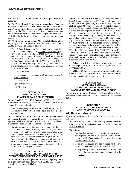cars shall respond to Phase I and all cars not preempted shall respond.

**3017.4 Phase I and II operation instructions.** Operation instructions shall be available in accordance with ASME A17.1, 2.27.7. In addition, Phase I operating instructions shall be adjacent to the Phase I switch in the fire command center and other *approved* locations. The Phase II operation instructions shall identify the location of the elevator machine rooms and control rooms.

**3017.5 Fireman's visual signal, ASME 2.27.3.2.6.** Elevators requiring Phase I or Phase II operation shall comply with ASME 2.27.3.2.6 as amended below:

When ((Phase I Emergency Recall Operation is initiated by a fire alarm initiating device)) a smoke or heat detector for any location listed in  $2.27.3.2.6(a)$  through (e)  $((,))$  is activated during Phase I Emergency Recall Operation as required by 2.27.3.2.3 or 2.27.3.2.4, or Phase II Emergency In-Car Operation as required by 2.27.3.3, the visual signal [see 2.27.3.1.6(h) and Fig. 2.27.3.1.6(h)] shall illuminate intermittently only in a car(s) with equipment in that location, as follows:

(a) machine room

(b) machinery space containing a ((motor controller or)) driving machine

(c) control room

 $((\text{d})$  control space))

 $(e))$ )  $(d)$  hoistway

#### **SECTION 3018 NEW INSTALLATIONS - PHASE I RECALL REQUIREMENTS**

**3018.1 ASME A17.1, 2.27.3 General.** ASME A17.1, 2.27.3, Firefighters' Emergency Operation: Automatic Elevators, is superseded by the following.

Phase I emergency recall operation shall be provided for all elevators with fully automatic open and close poweroperated doors.

**3018.2 ASME A17.1, 2.27.3.1 Phase I emergency recall operation.** Elevators requiring Phase I recall emergency operation shall comply with ASME A17.1, 2.27.3.1 Phase I Emergency Recall Operation, and the following:

Elevator groups containing four or more cars shall be provided with two, three-position key switches per group. Twoposition ("off" and "on") switches shall be provided in the fire command center if this code requires such a center. The switch(es) shall be rotated clockwise to go from "off" to "on" position. Hall call buttons common to an elevator group shall remain in service unless both Phase I recall switches of a four-car or larger group are placed in the recall mode, or a fire alarm recall signal is initiated.

#### **SECTION 3019 NEW INSTALLATIONS - PHASE II IN-CAR OPERATION REQUIREMENTS (ASME A17.1, 2.27.8)**

**3019.1 Phase II In-car Operation.** Elevators requiring Phase II in-car operation shall comply with ASME A17.1, 2.27.8 Switch Keys, as amended below.

**ASME 2.27.8 Switch Keys.** The key switches required by 2.27.2 through 2.27.5 and 2.27.11 for all elevators in a building shall be operable by the FEO-K1 key. The keys shall be Group 3 Security (see 8.1). A separate key shall be provided for each switch. These keys shall be kept in the key retainer box required by Section 3016.9 or 3016.16. ((on the premises in a location readily accessible to firefighters and emergency personnel, but not where they are available to the public.)) This key shall be of a tubular, 7 pin, style 137 construction and shall have a bitting of 6143521 starting at the tab sequenced clockwise as viewed from the barrel end of the key and cutting depths shall be in accordance with Fig. 2.27.8. The key shall be coded "FEO-K1." The possession of the "FEO-K1" key shall be limited to elevator personnel, emergency personnel, elevator equipment manufacturers, and authorized personnel during checking of Firefighters' Emergency Operation (see 8.1 and 8.6.11.1).

((Where provided, a lock box, including its lock and other components, shall conform to the requirement of UL 1037 (see Part 9).

NOTE (2.27.8): Local authorities may specify additional requirements for a uniform keyed lock box and its location to contain the necessary keys.))

#### **SECTION 3020 NEW INSTALLATIONS - CONSTRUCTION OF HOISTWAYS, MACHINE ROOMS AND CONTROL ROOMS**

**3020.1 Construction of hoistways.** All new elevator hoistways shall comply with ASME A17.1, section 2.1 as amended below.

### **SECTION 2.1 CONSTRUCTION OF HOISTWAYS AND HOISTWAY ENCLOSURES**

#### **2.1.1 Hoistway Enclosures**

((Hoistway enclosures shall conform to 2.1.1.1, 2.1.1.2, or  $2.1.1.3.$ )

Hoistways that penetrate a floor/ceiling assembly shall be protected by a fire-resistance-rated enclosure complying with this section.

# **Exceptions:**

- 1. In other than Group H occupancies, an enclosure is not required for elevators located within atriums complying with Section 404. The elevator is required to comply with 2.1.1.3.
- 2. Hoistway enclosures are not required to be fireresistance rated as provided in items 2.1 and 2.2.
	- 2.1 In parking garages, hoistway enclosures that serve only the parking garage are not required to be rated.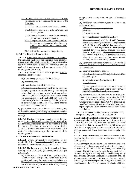2.2 In other than Groups I-2 and I-3, hoistway enclosures are not required to be rated, if the hoistway:

2.2.1 Does not connect more than two *stories*.

- 2.2.2 Does not open to a corridor in Group I and R occupancies.
- 2.2.3 Does not open to a corridor on nonsprinklered floors in any occupancy.
- 2.2.4 Is separated from floor openings and air transfer openings serving other floors by construction conforming to required shaft enclosures.
- 2.2.5 Is limited to one smoke compartment.

# **2.1.1.1 Fire-Resistive Construction**

**2.1.1.1.1** Where rated hoistway enclosures are required the enclosure shall be of fire-resistance rated construction as required for shafts by Section 713.4. ((Where fire resistive construction is required, hoistways shall be enclosed in conformance with the requirements of the building code (see 1.3).))

**2.1.1.1.2** Partitions between hoistways and machine rooms and control rooms

(((*a*) machinery spaces outside the hoistway

*(b)* machine rooms

*(c)* control spaces outside the hoistway

*(d)* control rooms that have)) shall be fire partitions complying with Section 708 having a fire-resistive rating of at least one hour, or shall be of noncombustible solid ((or openwork)) construction ((that meets the requirements of  $2.1.1.2.2(d)(1)$ ,  $(2)$ , and  $(3)$ )). Partitions ((of solid construction)) shall be permitted to have openings essential for ropes, drums, sheaves, and other elevator equipment.

((Openwork construction shall reject a ball 25 mm (1 in.) in diameter, except where there are openings essential for ropes, drums, sheaves, and other elevator equipment.))

**2.1.1.1.3** Hoistway enclosure openings shall be protected in accordance with Section 716 as required for fire partitions. Doors shall be self- or automatic-closing by smoke detection in accordance with Section 716.5.9.3. ((with entrances or access doors having a fire protection rating conforming to the requirements of the building code.))

#### **2.1.1.2 Non-Fire-Resistive Construction**

**2.1.1.2.1** Where fire-resistive construction is not required by  $2.1.1$ , ((the building code,)) hoistway construction shall conform to 2.1.1.2.2 or 2.1.1.3.

**2.1.1.2.2** The hoistway shall be fully enclosed ((conforming to  $2.1.1.2.2(a)$ , (b), (c), and (d); or  $2.1.1.2.2(a)$ , (b), and (e).

(*a*) Enclosures and doors shall be unperforated to a height of 2 000 mm (79 in.) above each floor or landing and above the treads of adjacent stairways. The enclosure shall be unperforated, adjacent to, and for 150 mm (6 in.) on either side of any moving equipment that is within 100 mm (4 in.) of the enclo sure.)

*(b)* Partitions between hoistways and machine rooms and control rooms

(((*1*) machinery spaces outside the hoistway

(*2*) machine rooms

*(3)* control spaces outside the hoistway

*(4)* control rooms)) shall be of solid ((or open work)) construction ((that meets the requirements of  $2.1.1.2.2(d)(1), (2),$  and  $(3))$ . Partitions of solid construction shall be permitted to have openings essential for ropes, drums, sheaves, and other elevator equipment. ((Openwork construction shall reject a ball 25 mm (1 in.) in diameter, except where there are openings for ropes, drums, sheaves, and other elevator equipment.

*(c)* Openwork enclosures, where used above the 2  $000$  mm (79 in.) level, shall reject a ball 25 mm (1 in.) in diameter.

*(d)* Openwork enclosures shall be

(*1*) at least 2.2 mm (0.087 in.) thick wire, if of steel wire grille

 $(2)$  at least 2.2 mm  $(0.0 \text{ in.})$  thick, if of

expanded metal

(*3*) so supported and braced as to deflect not over  $15$  mm ( $0.6$  in.) when subjected to a force of 450 N (100 lbf) applied horizontally at any point))

*(e)* Enclosures shall be permitted to be glass, provided it is laminated glass conforming to ANSI Z97.1, 16 CFR Part 1201((<del>, or CAN/CGSB 12.1,</del> whichever is applicable (see Part 9))). Markings as specified in the applicable standard shall be on each separate piece of glass and shall remain visible after installation.

**2.1.1.2.3** Entrances shall be in conformance with 2.11, except 2.11.14, 2.11.15, 2.11.16, and 2.11.18.

**2.1.1.3 Partially Enclosed Hoistways.** For elevators that are not required to be fully enclosed by  $2.1.1$ , protection at least 2 400 mm (94.5 in.) high shall be provided on the hoistway sides that are located 1 500 mm (59 in.) or less from elevator equipment to areas accessible to other than elevator personnel. Such protection shall comply with 2.1.1.2.

**2.1.1.4 Multiple Hoistways.** The number of elevators permissible in a hoistway shall be in conformance with the building code.

**2.1.1.5 Strength of Enclosure.** The hoistway enclosure adjacent to a landing opening shall be of sufficient strength to maintain, in true lateral alignment, the hoist-way entrances. Operating mechanisms and locking devices shall be supported by the building wall, if load-bearing, or by other building structure. Adequate consideration shall be given to pressure exerted on hoistway enclosures as a result of windage and elevator operation. In high-rise buildings in Risk Category III or IV in accordance with Section 1604.5,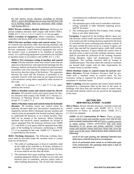for fire service access elevators according to Section 403.6.1, and in all buildings that are more than 420 feet (128 m) in *building height*, hoist-way enclosures shall comply with Section 403.2.3.

**3020.2 Private residence elevator hoistways.** Hoistways for private residence elevators shall comply with Section 3020.1. ASME A17.1, 5.3.1.1, 5.3.1.1.1 and 5.3.1.1.2 do not apply. **3020.3 Location of equipment.** Motor controllers, motion controllers and drives shall not be located in hoistways.

**3020.4 Elevator machine rooms and control rooms.** Elevator controls and machinery other than driving machines and governors shall be located in a room dedicated exclusively to elevator equipment. Listed electrical equipment that serves the machine room is permitted to be installed in machine rooms. Air conditioning equipment is permitted to be installed in machine rooms in accordance with ASME A17.1, 2.8.5.

**3020.4.1 Fire-resistance rating of machine and control rooms.** Elevator machine rooms and control rooms that are adjacent to the hoistway with unprotected openings into the hoistway shall be enclosed by fire partitions and horizontal assemblies with a fire-resistance rating of at least one-hour but not less than the rating of the hoistway. The separation between the room and the hoistway is permitted to be nonrated. Exterior walls and roofs are not required to have a fire-resistance rating unless required by other sections of this code.

ASME A17.1 sections 2.7.1.1 and 2.7.1.2 are superseded by this section.

**3020.4.2 Machine rooms and control rooms for electric elevators.** All machine rooms and control rooms for electric elevators shall comply with ASME A17.1 Section 2.7, Enclosure of Machine Rooms and Machinery Spaces, except 2.7.1.1 and 2.7.1.2.

**3020.4.3 Machine rooms and control rooms for hydraulic elevators.** All machine rooms and control rooms for hydraulic elevators shall have fire-resistive construction as required by Section 3020.4. Hydraulic elevator machine and control rooms are permitted to be located overhead, adjacent to, underneath the hoistway, or at a remote location. They shall not be located in the hoistway. Where hydraulic machines and electrical control equipment are located in spaces separated from the hoistway enclosure (see ASME 2.1.1 and 3020.1), such spaces shall be separated from other parts of the building by enclosures conforming to ASME 2.7.1.2 as amended by this code. ASME A17.1 Section 3.7 is superseded by this section.

**3020.5 Working clearances.** The following working clearances shall be provided inside the machine room or control room for all elevators.

- 1. The width of working space in front of controllers shall be the width of the controller or 30 inches, whichever is greater. The depth of the working space in the direction of access shall be not less than 48 inches.
- 2. The minimum clear space working clearances for freestanding equipment shall be 18 inches on two sides and between units of controllers, selectors and/or walls or other building obstructions. The 18 inch side clearance

is permitted to be combined to permit 36 inches clear on one side only.

- 3. The minimum space at the rear of controllers with backwiring, terminals or other elements requiring access shall be 36 inches.
- 4. The working space shall be free of pipes, vents, storage, ducts or any other obstruction.

**Exception:** If approved by the *building official*, space outside elevator control rooms and machine rooms is permitted to be used to provide working clearance required for the front of controllers for rooms containing only elevator controls. If the space outside the room serves as a means of egress, not more than one-half the required egress width shall overlap the working clearance. If space outside the control room or machine room is used to provide working clearance, means shall be provided for protection of the working clearance during alteration, repair and maintenance of elevator equipment. The working clearance shall be located in conditioned space. The room where the controls or machines are located shall comply with all other requirements for control rooms or machine rooms.

**3020.6 Machine rooms or control rooms for private residence elevators.** Private residence elevators shall be provided with a machine room or control room. No fire resistance rating is required for private residence elevator equipment or machine rooms.

**3020.7 Labeling.** Elevator machine and control rooms shall be identified by a permanent label on the door of the room. In buildings with more than one machine room or control room, the label shall identify which cars are served by the equipment in the room.

# **SECTION 3021 NEW INSTALLATIONS - FLOORS**

**3021.1 Floors.** All new elevator hoistways, machine rooms and control rooms shall comply with ASME A17.1, 2.1.3.3, Construction of Floors, as amended below. ASME A17.1, 2.1.3.4 is not adopted.

**ASME 2.1.3.3 Construction of Floors.** Floors of hoistways, control rooms and machine rooms shall ((be of concrete or metal construction with or)) have a coated concrete or metal surface without perforations that will resist absorption of oil, grease and similar materials. Control rooms and machine rooms shall have floors that cover the entire area of the room. ((Metal floors shall conform to the following:

*(a)* If of bar type grating, the openings between bars shall reject a ball 20 mm (0.8 in.) in diameter.

*(b)* If of perforated sheet metal or of fabricated open work construction, the openings shall reject a ball 25 mm (1 in.) in diameter.)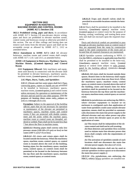#### **SECTION 3022 EQUIPMENT IN HOISTWAYS, MACHINE ROOMS AND CONTROL ROOMS (ASME A17.1 Section 2.8)**

**3022.1 Prohibited wiring, pipes and ducts.** In accordance with ASME A17.1 Section 2.8 non-elevator electric wiring, pipes and ducts are prohibited in elevator machine rooms, control rooms and hoistways except as otherwise provided in this section. The use of false ceilings and furring does not remove such items from the elevator spaces and shall not be acceptable except as allowed by ASME A17.1, 2.8.2 as amended below.

**3022.2 Amendment to ASME A17.1 2.8.3** All elevator hoistways, machine rooms and control rooms shall comply with ASME A17.1 2.8.1 and 2.8.3, as amended below.

#### **ASME 2.8 Equipment in Hoistways, Machinery Spaces, Machine Rooms, ((Control Spaces,)) and Control Rooms**

**2.8.1 Equipment Allowed.** Only machinery and equipment used directly in connection with the elevator shall be permitted in elevator hoistways, machinery spaces, machine rooms, ((control spaces,)) and control rooms.

#### **2.8.3 Pipes, Ducts, Tanks, and Sprinklers**

**2.8.3.1** ((Steam and hot water pipes shall be)) Pipes conveying gases, vapors or liquids are not permitted to be installed in hoistways, machinery spaces, machine rooms, ((control spaces,)) and control rooms unless necessary for operation or maintenance of the elevator and not used for any other purpose. ((for the purpose of heating these areas only, subject to 2.8.3.1.1 through 2.8.3.1.3)).

**Exception:** Subject to the approval of the *building official*, pipes that are not necessary for operation or maintenance of the elevator are permitted in machinery spaces, machine rooms and control rooms if they are protected with double containment and the joints within the machine space, machine room or control room are threaded, soldered or welded. Pipes shall not be located less than 7 feet above the floor in machine rooms.

**((2.8.3.1.1** Heating pipes shall convey only low pressure steam [100 kPa (15 psi) or less] or hot water  $[100^{\circ}$  C (212 $^{\circ}$  F) or less].

**2.8.3.1.2** All risers and return pipes shall be located outside the hoistway. When the machinery space, machine room, control space, or control room is located above the roof of the building, heating pipes for the machinery space, machine room, control space, or control room shall be permitted to be located in the hoistway between the top floor and the machinery space, machine room, control space, or control room.

**2.8.3.1.3** Traps and shutoff valves shall be provided in accessible locations outside the hoist way.))

**2.8.3.2** Ducts shall be permitted to be installed in the hoistway, ((machinery space,)) machine room,  $((\text{control space},))$  or control room for the purpose of heating, cooling, ventilating, and venting these areas only and shall not encroach upon the required clearances.

Ducts and electrical conduit are permitted to pass through an elevator machine room or control room if they are separated from the room by construction equal to the rated construction of the room and so located that all required clearances are maintained.

**2.8.3.3** Sprinkler systems conforming to NFPA 13  $((or the NBCC, whichever is applicable (see Part 9)))$ shall be permitted to be installed in the hoist-way, ((machinery space,)) machine room, ((control space,)) or control room subject to rules promulgated by the *building official*. ((2.8.3.3.1 through 2.8.3.3.4.

**2.8.3.3.1** All risers shall be located outside these spaces. Branch lines in the hoistway shall supply sprinklers at not more than one floor level. When the machinery space, machine room, control space, or control room is located above the roof of the building, risers and branch lines for these sprinklers shall be permitted to be located in the hoistway between the top floor and the machineery space, machine room, control space, or con trol room.

**2.8.3.3.2** In jurisdictions not enforcing the NBCC, where elevator equipment is located or its enclosure is configured such that application of water from sprinklers could cause unsafe elevator operation, means shall be provided to automatically disconnect the main line power supply to the affected elevator and any other power sup plies used to move the elevator upon or prior to the application of water.

*(a)* This means shall be independent of the ele vator control and shall not be self-resetting. *(b)* Heat detectors and sprinkler flow switches used to initiate main line elevator power shut down shall comply with the requirements of NFPA 72.

*(b)* The activation of sprinklers outside of such locations shall not disconnect the main line elevator power supply. See also 2.27.3.3.6.

**2.8.3.3.3** Smoke detectors shall not be used to activate sprinklers in these spaces or to disconnect the main line power supply.))

**2.8.3.3.4** ((In jurisdictions not enforcing the NBCC, when)) Where sprinklers are installed not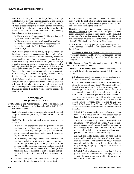more than 600 mm  $(24 \text{ in.})$  above the pit floor,  $2.8.3.3.4(a)$ and (b) apply to elevator electrical equipment and wiring in the hoistway located less than 1200 mm (48 in.) above the pit floor, except earthquake protective devices conforming to 8.4.10.1.2(d); and on the exterior of the car at the point where the car platform sill and the lowest landing hoistway door sill are in vertical alignment.

*(a)* Elevator electrical equipment shall be weatherproof (Type 4 as specified in NEMA 250).

*(b)* Elevator wiring, except traveling cables, shall be identified for use in wet locations in accordance with the requirements in the Seattle Electrical Code.  $((\text{NFPA }70))$ 

**2.8.3.4** Other pipes or ducts conveying gases, vapors, or liquid and not used in connection with the operation of the elevator shall not be installed in any hoistway, machinery space, machine room, ((control space,)) or control room. Where a machinery space, machine room, ((control space,)) or control room, or hoistway extend above the roof of a building, pipes shall be permitted from roof drains to the closest point where they can be diverted out of this space. Pipes shall be covered to prevent leakage or condensate from entering the machinery space, machine room, ((control space,)) control room, or hoistway.

**2.8.3.5** Where permitted and provided, pipes, drains, and tanks, or similar equipment that contains liquids, shall not be located directly above the elevator equipment and shall not encroach upon the required clearances in the hoistway, ((machinery space,)) machine room, ((control space,)) or control room.

# **SECTION 3023 PITS (ASME A17.1, 2.2.2)**

**3023.1 Design and Construction of Pits.** The design and construction of elevator pits shall comply with ASME A17.1, 2.2.2 as amended below:

**2.2.2.1** The construction of the pit walls, the pit floor, and any pit access doors (see 2.2.4) shall conform to 2.1.1 and 2.1.2.

**2.2.2.2** The floor of the pit shall be approximately level, except that

*(a)* trenches or depressions shall be permitted for the installation of buffers, compensating sheaves and frames, and vertically sliding biparting hoistway doors, where structural conditions make such trenches or depressions necessary

*(b)* in *existing buildings*, where new elevators are installed or existing elevators are altered, existing foundation footings extending above the general level of the pit floor shall be permitted to remain in place, provided that the maximum encroachment of such footings does not exceed 15% of the cubic content of the pit, and further provided that it is impracticable to remove the footing.

**2.2.2.3** Permanent provisions shall be made to prevent accumulation of ground water in the pit (see 2.1.2.2).

**2.2.2.4** Drains and sump pumps, where provided, shall comply with the applicable plumbing code, and they shall be provided with a positive means to prevent water, gases, and odors from entering the hoistway.

**2.2.2.5** In elevators that are fire service access or occupant evacuation elevators ((provided with Firefighters' Emergency Operation)), a drain or sump pump shall be provided in the area of the pit that serves those elevators. The sump pump/drain shall have the capacity to remove a minimum of 11.4 m3/h  $(3,000 \text{ gal/h})$  per  $((\text{elevation})$  hoistway.

**2.2.2.6** Sumps and sump pumps in pits, where provided, shall be covered. The cover shall be secured and level with the pit floor.

All elevators other than fire service access and occupant evacuation elevators shall be provided with sump holes that are at least 18 inches by 18 inches by 18 inches per hoistway.

**3023.2 Access to Pits.** All pits shall comply with ASME A17.1, 2.2.4 as amended below:

**ASME 2.2.4 Pit Access**. Safe and convenient access shall be provided to all pits, and shall conform to 2.2.4.1 through 2.2.4.6.

**2.2.4.1** Access shall be by means of the lowest hoist-way door or by means of a separate pit access door.

**2.2.4.2** There shall be installed in the pit of each elevator, where the pit extends more than 900 mm (35 in.) below the sill of the pit access door (lowest hoistway door or separate pit access door), a fixed vertical ladder of noncombustible material, located within reach of the access door. The ladder is permitted to be retractable or nonretractable. Nonretractable ladders, where provided, shall conform to 2.2.4.2.1 through 2.2.4.2.6. Retractable ladders, where provided, shall conform to 2.2.4.2.1 through 2.2.4.2.3 and 2.2.4.2.5 through 2.2.4.8. When in the extended position, retractable ladders shall conform to 2.2.4.2.4.

**2.2.4.2.1** The ladder shall extend not less than 1 200 mm (48 in.) above the sill of the access door or handgrips shall be provided to the same height.

**2.2.4.2.2** The ladder rungs, cleats, or steps shall be a minimum of 400 mm (16 in.) wide. When obstructions are encountered, the width shall be permitted to be decreased to less than 400 mm (16 in.). The reduced width shall be as wide as the available space permits, but not less than 225 mm (9 in.).

**2.2.4.2.3** The ladder rungs, cleats, or steps shall be spaced 300 mm  $(12 \text{ in.}) \pm 13 \text{ mm} (\pm 0.5 \text{ in.})$  on center, shall be provided to not less than the height of access door sill, and shall be designed to minimize slipping (e.g. knurling, dimpling, coating with skid-resistant material, etc.).

**2.2.4.2.4** A clear distance of not less than 115 mm (4.5 in.) from the centerline of the rungs, cleats, or steps to the nearest permanent object in back of the ladder shall be provided.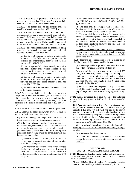**2.2.4.2.5** Side rails, if provided, shall have a clear distance of not less than 115 mm (4.5 in.) from their centerline to the nearest permanent object.

**2.2.4.2.6** The ladder and its attachments shall be capable of sustaining a load of 135 kg (300 lb.)

**2.2.4.2.7** Retractable ladders that are in the line of movement of the car or counterweight when not fully retracted, shall operate a retractable ladder electrical device (see 2.26.2.38) that shall cause the power to be removed from the elevator driving-machine motor and brake unless the ladder is in its fully retracted position.

**2.2.4.2.8** Retractable ladders shall be capable of being extended, mechanically secured and unsecured, and retracted from the access door, and

*(a)* the force(s) required to extend a retractable ladder from the fully retracted position to the extended and mechanically secured position shall not exceed 220 N (50 lbf)

*(b)* after being extended and mechanically secured, a retractable ladder shall remain secured in the extended position when subjected to a horizontal force not to exceed 2 220 N (500 lbf)

*(c)* the force(s) required to retract a retractable ladder from its extended position to its fully retracted position, after being unsecured, shall not exceed 220 N (50 lbf)

*(d)* the ladder shall be mechanically secured when in the retracted position

**2.2.4.3** Pit access by a ladder shall not be permitted when the pit floor is more than 3 000 mm (120 in.) below the sill of the access door, except where there is no building floor below the bottom terminal landing, this height shall be permitted to be greater but not more than 4 200 mm (165 in.).

**2.2.4.4** Pits shall be accessible only to elevator personnel.

**2.2.4.5** Separate pit access door, when provided, shall be subject to the following requirements:

(*a*) If the door swings into the pit, it shall be located so that it does not interfere with moving equipment.

(*b*) If the door swings out, and the lowest structural or mechanical part, equipment, or device installed beneath the car platform, except guide shoes or rollers or safety jaw assemblies, projects below the top of the separate pit access door opening when the car is level with the bottom terminal landing

*(1)* an electric contact conforming to 2.26.2.26 shall be provided to prevent operation of the elevator when the door is open

*(2)* the door shall be provided with a vision panel(s) that is glazed with clear wired glass not less than 6  $mm (0.25 in.)$  thick, will reject a ball 150 mm  $(6 in.)$ in diameter, and have an area of not more than 0.03 m2 (47 in.2).

(*c*) The door shall provide a minimum opening of 750 mm (29.5 in.) in width and  $((1-825))$  2 032 mm  $(((72))$ 80 in.) in height.

(*d*) The door shall be equipped with a barrier conforming to 2.11.1.2(i), where the door sill is located more than 300 mm (12 in.) above the pit floor.

*(e)* The door shall be self-closing and provided with a spring-type lock arranged to permit the door to be opened from inside of the pit without a key. Such doors shall be kept closed and locked. A key shall be required to unlock the lock from outside the hoistway. The key shall be of Group 1 Security (see 8.1).

*(f)* Separate pit access doors shall not be located where a person, upon entering the pit*,* can be struck by any part of the car or counterweight when either is on its fully compressed buffer.

**2.2.4.6** Means to unlock the access door from inside the pit shall be provided. The means shall be located

*(a)* when no pit ladder is provided, not more than 1 825 mm (72 in.) vertically above the pit floor, or

*(b)* when a pit ladder is provided, not more than 1 825 mm (72 in.) vertically above a rung, cleat, or step. The minimum distance from the top rung, cleat, or step to the top of the pit ladder or handhold shall not be less than 1 200 mm (48 in.) (see 2.2.4.2.1 and Nonmandatory Appendix J, Fig. J1), and

*(c)* with the door in the closed position, in a plane not more than 1 000 mm (39 in.) horizontally from a rung, cleat, or step of the pit ladder (see Nonmandatory Appendix J, Fig. J-1).

**3023.2 Access to underside of cars.** Access to the underside of cars shall comply with ASME A17.1, 2.2.8 as amended below:

**2.2.8 Access to Underside of Car.** Where the distance from the pit floor to the underside of the plank channels or slings exceeds 2 100 mm (83 in.), with the car at the lowest landing, a means shall be permanently installed or permanently stored in the pit to provide access to the equipment on the underside of the car. When access is provided by means of a working platform it shall conform to the requirements of 2.7.5.3.2 through 2.7.5.3.6.

When working platform inspection operation is provided according to 2.7.5.3.6, in hoistways containing a single elevator

*(a)* a pit access door is required, or

*(b)* an additional elevator personnel shall be present outside the hoistway when the pit inspection operation is in effect.

#### **SECTION 3024 SHUTOFF VALVE (ASME A17.1, 3.19.4.1)**

**3024.1 Hydraulic elevator shutoff valve.** All hydraulic elevators shall comply with ASME A17.1, 3.19.4.1, Shutoff Valve, as amended below:

**ASME 3.19.4.1 Shutoff Valve.** A manually operated shutoff valve shall be provided between the hydraulic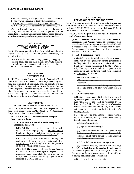I

machines and the hydraulic jack and shall be located outside the hoistway and adjacent to the hydraulic machine.

# An additional shutoff valve may be required in the pit by WAC 296-96-02425 as it existed on February 15, 2013.

Where the hydraulic machine is located in the hoistway, the manually operated shutoff valve shall be permitted to be located inside the hoistway, provided that it is accessible from outside the hoistway to elevator personnel only (see 8.1).

#### **SECTION 3025 GUARD AT CEILING INTERSECTION (ASME A17.1, 6.1.3.3.11)**

**3025.1 Escalator guards.** All escalators shall comply with ASME A17.1, 6.1.3.3.11, Guard at Ceiling Intersection, and the following:

Guards shall be provided at any pinching, snagging or wedging points between the handrail, balustrade and adjacent building components or equipment if such points are within the clearances delineated in 6.1.3.3.11.

#### **SECTION 3026 TEST REPORTS**

**3026.1 Test reports.** For tests required by Section 3028 and ASME 17.1, Part 8, as amended in this code, immediately after tests are completed all test results shall be submitted to the *building official* for approval on forms furnished by the *building official*. The submitted results shall be completed and signed by the person performing the tests and shall identify the testing firm. Copies of the completed forms shall be provided to the owner or to the owner's authorized agent.

# **SECTION 3027 ACCEPTANCE INSPECTIONS AND TESTS**

**3027.1 Acceptance inspections and tests.** Inspections and tests shall comply with ASME A17.1, 8.10, Acceptance Inspection and Tests, as amended below.

#### **ASME 8.10.1 General Requirements for Acceptance Inspections and Tests**

#### **8.10.1.1 Persons Authorized to Make Acceptance Inspections and Tests**

**8.10.1.1.1** The acceptance inspection shall be made by an inspector employed by the *building official* ((authority having jurisdiction, or by a person authorized by the authority having jurisdiction.))

**8.10.1.1.2** The person installing or altering the equipment shall perform all of the tests required by ASME A17.1, 8.10.2 through 8.10.5 in the presence of the inspector specified in 8.10.1.1.1.

**((8.10.1.1.3** The inspector shall meet the qualification requirements of the ASME QEI 1. Inspectors and inspection supervisors shall be certified by an independent, accredited, certifying organization as specified in 8.10.1.2 (see 1.3).)

#### **SECTION 3028 PERIODIC INSPECTIONS AND TESTS**

**3028.1 Persons authorized to make periodic inspections and witness tests.** Periodic inspection and tests shall comply with WAC 296-96-23600 as it existed on February 15, 2013 and ASME A17.1, 8.11 as amended below.

**8.11.1 General Requirements for Periodic Inspections and Witnessing of Tests**

**((8.11.1.1 Persons Authorized to Make Periodic Inspections and Witness Tests.** The inspector shall meet the qualification requirements of the ASME QEI 1. Inspectors and inspection supervisors shall be certified an independent, accredited, certifying organization as specified in 8.10.1.2 (see 1.3).))

#### *a.11.1.1.1* **Periodic Inspections**

*(a)* Periodic inspections shall be made by an inspector employed by the  $((\text{authority having }$  jurisdiction $))$ *building official* or by a person authorized by the ((authority having jurisdiction)) *building official*.  $((b)$  The inspector shall submit a signed written report to the authority having jurisdiction containing the following information:

*(1)* date of inspection(s)

*(2)* components or systems that have not been **Inspected** 

*(3)* Code deficiencies noted during the inspection and a statement as to corrective action taken, if any))

#### **8.11.1.1.2 Periodic tests**

*(a)* Periodic tests as required in 8.6 shall be performed by elevator personnel that are qualified to perform such tests. These tests shall be witnessed by an inspector (see  $8.11.1.1$ ) employed by the ((authority having jurisdiction)) *building official*, or by persons authorized by the ((authority having jurisdiction)) *building official*.

 $((b)$  The inspector shall submit a signed written report to the authority having jurisdiction containing the following information:

*(1)* date of inspection(s)

*(2)* type of performed test(s)

*(3)* detailed results of the test(s) including but not limited to, speed, governor trip speed, safety slide distance, relief valve setting, escalator/moving walk brake torque setting, etc.

*(4)* Code deficiencies noted during the test

*(5)* statement as to any corrective action taken)) **8.11.1.2 Applicability of Inspection Requirements.**  Inspections required by 8.11.2 through 8.11.5 are to determine that the existing equipment conforms with the following applicable Code requirements:

*(a)* the Code at the time of installation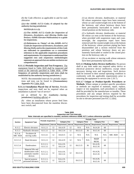*(b)* the Code effective as applicable to and for each alteration

 $((e)$  the ASME A17.3 Code, if adopted by the authority having jurisdiction

NOTES (8.11.1.2):

*(1)* The ASME A17.2 *Guide for Inspection of Elevators, Escalators, and Moving Walks* (see Preface, ASME Elevator Publications) is a guide for inspections.

*(2)* References to "Items" of the ASME A17.2 *Guide for Inspection of Elevators, Escalators, and Moving Walks* and to the requirements of this Code are indicated in parentheses as a convenient reference to the applicable inspection procedures and requirements. It is important to understand that suggested test and inspection methodologies represent an approach but are neither exclusive nor comprehensive.

**8.11.1.3 Periodic Inspection and Test Frequency.** The equipment listed in Table 3028 shall be inspected and tested at the intervals specified in Table 3028. ((The frequency of periodic inspections and tests shall be established by the authority having jurisdiction.)

NOTE: Recommended intervals for periodic inspections and tests can be found in ((Nonmandatory Appendix N)) Table 3028.

**8.11.1.4 Installation Placed Out of Service.** Periodic inspections and tests shall not be required when an installation is placed "out of service":

*(a)* as defined by the ((authority having jurisdiction)) *building official*; or

*(b)* when an installation whose power feed lines have been disconnected from the mainline disconnect switch; and

*(1)* an electric elevator, dumbwaiter, or material lift whose suspension ropes have been removed, whose car and counterweight rest at the bottom of the hoistway, and whose hoistway doors have been permanently barricaded or sealed in the closed position on the hoistway side;

*(2)* a hydraulic elevator, dumbwaiter, or material lift whose car rests at the bottom of the hoistway; when provided with suspension ropes and counterweight, the suspension ropes have been removed and the counterweight rests at the bottom of the hoistway; whose pressure piping has been disassembled and a section removed from the premises and whose hoistway doors are permanently barricaded or sealed in the closed position on the hoistway side; or

*(3)* an escalator or moving walk whose entrances have been permanently barricaded.

**8.11.1.5 Making Safety Devices Ineffective.** No person shall at any time make any required safety device or electrical protective device ineffective, except where necessary during tests and inspections. Such devices shall be restored to their normal operating condition in conformity with the applicable requirements prior to returning the equipment to service (see 2.26.7).

**8.11.1.7 Unique or Product-Specific Procedures or Methods.** Where unique or product-specific procedures or methods are required to maintain, repair, replace, inspect or test equipment, such procedures or methods shall be provided by the manufacturer or installer. These procedures and any unique devices required by the procedures for inspection and testing shall be accessible on site to elevator personnel [see 8.6.1.2.2(b)].

|                            | <b>Equipment Type</b>                                                   | <b>Periodic Inspections</b> |    | <b>Periodic Tests</b> |                 |                       |     |                       |     |                                                 |    |
|----------------------------|-------------------------------------------------------------------------|-----------------------------|----|-----------------------|-----------------|-----------------------|-----|-----------------------|-----|-------------------------------------------------|----|
| <b>Section</b>             |                                                                         |                             |    | <b>Category One</b>   |                 | <b>Category Three</b> |     | <b>Category Five</b>  |     | Other                                           |    |
|                            |                                                                         | Requirement   Interval      |    | Requirement           | <b>Interval</b> | Requirement Interval  |     |                       |     | Requirement   Interval   Requirement   Interval |    |
| 8.11.2                     | Electric elevators                                                      | 8.11.2.1                    | 12 | 8.6.4.19              | 12              | N/A                   | N/A | 8.6.4.20              | 60  |                                                 |    |
| 8.11.3                     | Hydraulic elevators                                                     | 8.11.3.1                    | 12 | 8.6.5.14              | 12              | 8.6.5.15              | 36  | 8.6.5.16              | 60  |                                                 |    |
| 8.11.4;<br><b>SBC 3028</b> | Escalators &<br>moving walks                                            | 8.11.4.1                    | 12 | 8.6.8.15              | 12              | N/A                   | N/A | N/A                   | N/A | <b>SBC 3028</b>                                 | 12 |
| 8.11.5.3                   | Hand elevators                                                          | 8.11.2.1                    | 12 | 8.6.4.19              | 12              | N/A                   | N/A | 8.6420<br>865.16      | 60  |                                                 |    |
| 8.11.5.4                   | <b>Dumbwaiters</b>                                                      | 8.11.2.1.<br>8.11.3.1       | 12 | 8.6.4.19.<br>8.6.5.14 | 12              | 8.6.5.15              | 36  | 8.6.4.20,<br>8.6.5.16 | 60  |                                                 |    |
| 8.11.5.5                   | Material lifts and<br>dumbwaiters with<br>automatic transfer<br>devices | 8.11.2.1,<br>8.11.3.1       | 12 | 8.6.4.19,<br>8.6.5.14 | 12              | 8.6.5.15              |     | 8.6.4.20,<br>8.6.5.16 | 60  |                                                 |    |
| 8.11.5.6                   | Special purpose<br>personnel elevators                                  | 8.11.2.1.<br>8.11.3.1       | 12 | 8.6.4.19.<br>8.6.5.14 |                 | 8.6.5.15              |     | 8.6.4.20,<br>8.6.5.16 | 60  |                                                 |    |

**Table 3028 Inspection and Test Intervals Note: Intervals are specified in months; sections reference ASME A17.1 unless otherwise specified**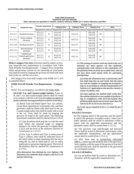|                | <b>Equipment Type</b>                            | <b>Periodic Inspections</b> |    | <b>Periodic Tests</b>                           |  |                       |  |                        |    |                        |  |
|----------------|--------------------------------------------------|-----------------------------|----|-------------------------------------------------|--|-----------------------|--|------------------------|----|------------------------|--|
| <b>Section</b> |                                                  |                             |    | <b>Category One</b>                             |  | <b>Category Three</b> |  | <b>Category Five</b>   |    | Other                  |  |
|                |                                                  |                             |    | Requirement   Interval   Requirement   Interval |  | Requirement Interval  |  | Requirement   Interval |    | Requirement   Interval |  |
| 8.11.5.7       | Inclined elevators                               | $8.11.2.1$ ,<br>8.11.3.1    | 12 | 8.6.4.19.<br>8.6.5.14                           |  | 8.6.5.15              |  | 8.6.4.20,<br>8.6.5.16  | 60 |                        |  |
| 8.11.5.9       | Screw-column<br>elevators                        | 8.11.2.1.<br>8.11.3.1       | 12 | 8.6.4.19.<br>8.6.5.14                           |  | 8.6.5.15              |  | 8.6.4.20,<br>8.6.5.16  | 60 |                        |  |
| 8.11.5.10      | Rooftop elevators                                | $8.11.2.1$ ,<br>8.11.3.1    | 12 | 8.6.4.19.<br>8.6.5.14                           |  | 8.6.5.15              |  | 8.6.4.20,<br>8.6.5.16  | 60 |                        |  |
| 8.11.5.11      | Rack & pinion<br>elevators                       | 8.11.2.1.<br>8.11.3.1       | 12 | 8.6.4.19.<br>8.6.5.14                           |  | 8.6.5.15              |  | 8.6.4.20,<br>8.6.5.16  | 60 |                        |  |
| 8.11.5.12      | Limited use/<br>limited application<br>elevators | 8.11.2.1,<br>8.11.3.1       | 12 | 8.6.4.19.<br>8.6.5.14                           |  | 8.6.5.15              |  | 8.6.4.20,<br>8.6.5.16  | 60 |                        |  |

**Table 3028 (Continued) Inspection and Test Intervals Note: Intervals are specified in months; sections reference ASME A17.1 unless otherwise specified**

**3028.2 Category Five tests.** Elevators shall be subject to fiveyear inspection test requirements in accordance with Table 3028, Periodic Test Requirements – Category Five, except that safety and governor systems of cars operating on wood guide rails shall be tested by tripping the governor by hand with rated load in the car, and the car at rest.

All Category Five tests shall comply with ASME A17.1, 8.6 as amended below:

# **ASME 8.6.4.20 Periodic Test Requirements – Category 5.**

NOTE: For test frequency, see ((8.11.1.3)) Table 3028.

**8.6.4.20.1 Car and Counterweight Safeties.** Types A, B, and C car and counterweight safeties shall be tested in accordance with  $8.6.4.20.1(a)$  ((or subject to approval by the authority having jurisdiction with 8.6.4.20.1(b))).

*(a) Rated Load and Rated Speed Test.* Car safeties, except those operating on wood guide rails, and their governors, shall be tested with rated load in the car. Counterweight safety tests shall be made with no load in the car. Tests shall be made by tripping the governor by hand at the rated speed. The following operational conditions shall be checked (Item 2.29.2):

*(1)* Type B safeties shall stop the car with the rated load within the required range of stopping distances for which the governor is tripped (Item 2.29.2) and the level of the platform checked for conformance to 2.17.9.2.

*(2)* For Type A safeties and Type A safety parts of Type C safeties, there shall be sufficient travel of the safety rollers or dogs remaining after the test to bring the car and its rated load to rest on safety application at governor tripping speed. The level of the platform shall be checked for conformance to 2.17.9.2.

*(((b) Alternative Test Method for Car Safeties.* The alternative test methods shall comply with 8.6.11.10 and the following:

*(1)* The testing of safeties with any load in the car, centered on each quarter of the platform symmetrically with relation to the centerlines of the platform from no load up to rated load, and at not less than rated speed shall be permitted provided that

*(a)* when the alternative test is performed, the test shall stop the car and verify that the safe ties will be capable of stopping an overspeeding car in accordance with the requirements of Section 2.17 applicable to the specific classifycation of safeties, and

*(b)* when applied, the method shall verify that the safeties perform or are capable of performing in compliance with 8.6.4.20.1(a)and the platform shall not be out of level more than 30 mm/m (0.36 in./ft) in any direction.))

*(2)* A test tag as required in 8.6.1.7.2 shall be provided.

# **8.6.4.20.2 Governors**

*(a)* The tripping speed of the governor and the speed at which the governor overspeed switch, where provided, operates shall be tested to determine conformance with the applicable requirements and the adjustable means shall be sealed (Item 2.13.2.1).

*(b)* The governor rope pull-through and pull-out forces shall be tested to determine conformance with the applicable requirements, and the adjustment means shall be sealed (Item 2.13.2.1).

*(c)* After these tests in jurisdictions enforcing NBCC, a metal tag indicating the date of the governor tests, together with the name of the person or firm that performed the tests, shall be attached to the governor in a permanent manner.

# **8.6.4.20.3 Oil Buffers**

*(a)* Car oil buffers shall be tested to determine conformance with the applicable requirements by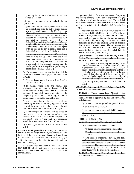*(1)* running the car onto the buffer with rated load at rated speed, ((or

*(2)* subject to approval by the authority having **jurisdiction** 

*(a)* running the car with any load, from no load up to rated load onto the buffer at rated speed when the requirements of 8.6.11.10 are com plied with, provided that when applied the method verifies that the buffer performs or is capable of performing in compliance with  $8.\overline{6}.4.20.\overline{3(a)}$ , except as specified  $8.6.4.20.3(b)$  and (c) (Item 5.9.2.1). Counter weight oil buffers shall be tested by running the counterweight onto its buffer at rated speed with no load in the car, except as specified in 8.6.4.20.3(b) and (c) (Item  $5.\overline{9}.2.1$ ), or

*(b)* running the car onto the buffer with any load, from no load up to rated load, and at less than rated speed, when the requirements of 8.6.11.10 are complied with, provided that when applied, the method verifies that the buffer performs or is capable of performing in compliance with  $8.6.4.20.3(a)$ )

*(b)* For reduced stroke buffers, this test shall be made at the reduced striking speed permitted (Item 5.9.2.1).

*(c)* This test is not required where a Type C safety is used (see 8.6.4.20.1).

*(d)* In making these tests, the normal and emergency terminal stopping devices shall be made temporarily inoperative. The final terminal stopping devices shall remain operative and be temporarily relocated, if necessary, to permit compression of the buffer during the test.

*(e)* After completion of the test, a metal tag, indicating the date of the test, together with the name of the person or firm who performed the test, shall be attached to the buffer [Item 5.3.2(b)].

*(f)* Counterweight oil buffers shall be tested by running the counterweight onto its buffer at rated speed with no load in the car, except as specified in 8.6.4.20.3(b) and (c) (Item 5.9.2.1), or at reduced speed if the requirements of 8.6.11.10 are met.

*(g)* A test tag as required in 8.6.1.7.2 shall be provided.

**8.6.4.20.4 Driving-Machine Brake(s).** For passenger elevators and all freight elevators, the driving-machine brake shall be tested for compliance with applicable requirements, in accordance with  $8.6.4.20.4(a)$ , (( $\Theta$ **r**) subject to approval by the authority having jurisdiction with  $8.6.4.20.4(b)$ .)

For elevators installed under ASME A17.1-2000/ CSA B44-00 and later editions, have the brake setting verified in accordance with the data on the brake marking plate.

Upon completion of the test, the means of adjusting the holding capacity shall be sealed to prevent changing the adjustment without breaking the seal. The seal shall bear or otherwise attach the identification of the person or firm that installed it. (See also 8.6.1.7.2, Periodic Test Tags.)

*(a)* Test with load per Table 8.6.4.20.4. Place the load as shown in Table 8.6.4.20.4 in the car. The drivingmachine brake, on its own, shall hold the car with this load. With no load in the car the driving-machine brake shall hold the empty car at rest, and shall decelerate an empty car traveling in the up direction from governor tripping speed. The driving-machine brake on freight elevators of Class C-2 loading, when loaded to their maximum design load, shall hold the elevator car at rest (Item 2.17.2.1).

*(((b) Alternative Test Method for Driving Machine Brakes.* The alternative test methods shall comply with 8.6.11.10 and the following:

*(1)* Any method of verifying conformity of the driving machine brake with the applicable Code requirements (see 2.24.8.3 and Table 8.6.4.20.4) shall be permitted, including the testing method of the brakes with or without any load in the car, provided that when applied the method verifies that the brake performs or is capable of performing in compliance with  $8.6.4.20.\overline{4(a)}$ .)

*(2)* A test tag as required in 8.6.1.7.2 shall be provided.

**((8.6.11.10 Category 5 Tests Without Load Via Alternative Test Methodologies**

**8.6.11.10.1 Where Permitted.** Alternative methods without load are permitted for Category 5 testing subject to approval by the authority having jurisdiction of

*(a)* car and counterweight safeties per 8.6.4.20.1

*(b)* oil buffers per 8.6.4.20.3

*(c)* driving machine brakes per 8.6.4.20.4, and

*(d)* braking system, traction, and traction limits per 8.6.4.20.10

NOTE: See 8.10, Note (2).

#### **8.6.11.10.2 Alternative Test Method and Tools**

*(a)* An alternative test method shall be

*(1)* based on sound engineering principles

*(2)* validated and documented via engineering tests

*(b)* The method, measuring devices, and tools shall be capable of producing reliable and consistent measurements, suitable for the intended measurement. The monitoring and calibration of the measuring devices or tools shall be in accordance with the provider's guidelines.

**8.6.11.10.3 Alternative Test Method Procedure.**  The alternative test method shall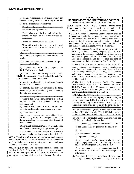*(a)* include requirements to obtain and verify car and counterweight masses if necessary for the test

*(b)* have a procedure document that

*(1)* defines the permissible equipment range and limitations regarding use

*(2)* establishes monitoring and calibration criteria for tools or measuring devices as appropriate

*(3)* defines the test set up procedure

*(4)* provides instructions on how to interpret results and correlate the results to pass fail criteria

*(c)* describe how to correlate no load test results with previously acquired full load and no load results

*(d)* be included in the maintenance control pro  $gram$  [see 8.6.1.2.1(a)]

*(e)* include the information required by 8.6.1.2.1(f) where applicable, and

*(f)* require a report conforming to 8.6.11.10.4. **8.6.11.10.4 Alternative Test Method Report.** The alternative test method report shall

*(a)* identify the alternative test tool (make/model) used to perform the test

*(b)* identify the company performing the tests, names of personnel conducting and witnessing the tests, and testing dates

*(c)* contain all required printouts or record of tests required to demonstrate compliance to the testing requirement that were gathered during an acceptance test

*(d)* identify which results from the baseline test are to be used for future compliance evaluation

*(e)* record the car and

counterweight masses that were obtained per 8.6.11.10.3(a) during the acceptance test and during any subsequent Cate gory 5 test if required by test method

*(f)* contain all subsequent Category 5 results with pass fail conclusions regarding Code compliance

*(g)* remain on site or shall be available to elevator personnel and the authority having jurisdiction.))

**3028.3 Cleaning and testing of escalators and moving walks.** In addition to the periodic inspection and tests specified in Table 3028, escalator and moving walk trusses and pans shall be cleaned every 12 months.

**3028.4 Step/skirt test.** The step/skirt performance index test specified in 8.6.8.15.19 is required for all periodic escalator tests at intervals specified in Table 3028. Escalator and moving walk step/skirt shall be performed every 12 months.

# **SECTION 3029 REQUIREMENTS FOR MAINTENANCE CONTROL PROGRAM AND REMOTE MONITORING**

**3029.1 ASME A17.1, 8.6.1 General Maintenance Requirements.** Conveyances shall be maintained in accordance with ASME A17.1, 8.6.1 as amended below.

**8.6.1.2.1** A written Maintenance Control Program shall be in place to maintain the equipment in compliance with the requirements of 8.6. The MCP shall specify examinations, tests, cleaning, lubrication, and adjustments to applicable components at regular intervals (see definition for *maintenance*) and shall comply with the following.

(a) "A Maintenance Control Program for each unit (see 8.6.1.1.1) shall be provided by the person(s) and/or firm maintaining the equipment and shall be viewable on-site by elevator personnel at all times from time of acceptance inspection and test or from the time of equipment installation or alteration (see 8.10.1.5)."

(b) The MCP shall include, but not be limited to, the Code required maintenance tasks, maintenance procedures, and examination and test listed with the associated requirement (see 8.6.4 through 8.6.11). Where maintenance tasks, maintenance procedures, or examinations or tests have been revised in 8,6, the MCP shall be updated.

(c) The MCP shall reference On-Site Equipment Documentation (see 8.6.1.2.2) needed to fulfill 8.6.1.2.1(b) and On-Site Maintenance Records (see 8.6.1.4.1) that record the completion of all associated maintenance tasks specified in 8.6.1.4.1(a).

 $((\text{d})$  Where the MCP is maintained remotely from the machine room, machinery space, control room, or control space (see 8.11.1.8), instructions for on site locating or viewing the MCP either in hard copy or in electronic formal shall be posted on the controller or at the means necessary for test (see 2.7.4). The instructions shall be permanently legible with characters a minimum of 3 mm (0.125 in.) in height.)) The MCP shall be posted in the machine room, machinery place or control room.

(e) The specified scheduled maintenance intervals (see 1.3) shall, as applicable, be based on

(1) equipment age, condition, and accumulated wear

(2) design and inherent quality of the equipment

(3) usage

(4) environmental conditions

(5) improved technology

(6) the manufacturer's recommendations and original equipment certification for any SIL rated devices or circuits (see 8.6.3.12 and 8.7.1.9)

(7) the manufacturer's recommendations based on any ASME A17.7/CSA B44.7 approved components or functions

(f) Procedures for tests; periodic inspections; maintenance; replacements; adjustments; and repairs for trac-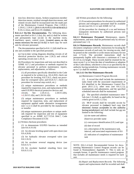tion-loss detection means, broken-suspension-member detection means, residual-strength detection means, and related circuits shall be incorporated into the made part of the Maintenance Control Program. [See 2.20.8.1, 2.20.8.2, 2.20.8.3,  $((8.6.11.10, 8.10.2.2.2(ce)(3)(e)(2),))$ 8.10.2.2.2(ss), and  $8.6.4.19.12((\text{(b)}))$ .]

**8.6.1.2.2 On-Site Documentation.** The following documents specified in 8.6.1.2.2(a), (b), and (c) shall be written and permanently kept on-site in the machine room, machinery space, control room, ((control space, or the means necessary for test  $(2.7.6.4)$ ) in hard copy for each unit for elevator personnel.

The documentation specified in 8.6.1.2.2(d) shall be onsite and available to the specified personnel.

(a) Up-to-date wiring diagrams detailing circuits of all electrical protective devices (see 2.26.2) and critical operating circuits (see 2.26.3).

(b) Procedures for inspections and tests not described in ASME A17.2 and procedures or methods required for elevator personnel to perform maintenance, repairs, replacements, and adjustments, as follows:

(1) all procedures specifically identified in the Code as required to be written (e.g., 8.6.4.20.8, check out procedure for leveling; 8.6.5.16.5, check out procedure for overspeed valve; and 8.6.8.15.7, check out procedure for reversal stop switch, etc.)

(2) unique maintenance procedures or methods required for inspection, tests, and replacement of SIL rated E/E/PES electrical protective devices and<br>circuits. See 2.26.4.3.2. 2.26.9.3.

circuits. See 2.26.4.3.2, 2.26.9.3.2(b),  $\textcolor{red}{\downarrow}$ , 2.26.9.5.1(b), and 2.26.9.6.1(b)

(3) unique maintenance procedures or methods required for inspection, tests, and replacement of equipment applied under alternative arrangements (see 1.2.2.1) shall be provided by the manufacturer or installer

(4) unique maintenance procedures or unique methods required for inspection and test of equipment specified in an ASME A17.7/CSA B44.7, Code Compliance Document (CCD)

(c) Written checkout procedures

(1) to demonstrate E/E/PES function as intended (see 8.6.4.19.10)

(2) for elevator leveling speed with open doors (see 8.6.4.20.8)

(3) for hydraulic elevator overspeed valve (see 8.6.5.16.5)

(4) for escalator reversal stopping device (see 8.6.8.15.7)

(5) for escalator handrail retarding force (see 8.6.8.15.13)

(d) Written procedures for the following:

(1) Evacuation procedures for elevators by authorized persons and emergency personnel shall be available on-site (see 8.6.11.5.2 and ASME A17.4)

(2) the procedure for cleaning of a car and hoistway transparent enclosures by authorized persons (see 8.6.11.4.2)

**8.6.1.3 Maintenance Personnel.** Maintenance, repairs, replacements, and tests shall be performed only by elevator personnel (see 1.3)

**8.6.1.4 Maintenance Records.** Maintenance records shall document compliance with 8.6. Instructions for locating the maintenance records of each unit, for viewing on-site, shall be posted on the controller or at the means necessary for test (see 2.7.6.4). The provided instructions shall be permanently legible with characters a minimum of 3 mm (0.125 in.) in height. These records shall be retained for the most recent 5 yr or from the date of installation or adoption of this Code edition, whichever is less or as specified by the authority having jurisdiction. Existing maintenance records up to 5 yr shall be retained.

#### **8.6.1.4.1 On-Site Maintenance Records**

*(a) Maintenance Control Program Records*

(1) A record that shall include the maintenance tasks listed with the associated requirements of 8.6 identified in the Maintenance Control Program (8.6.1.2.1), other tests (see 8.6.1.2.2), examinations and adjustments, and the specified scheduled intervals shall be maintained.

(2) The specified scheduled maintenance intervals (see 1.3) shall, as applicable, be based on the criteria given in 8.6.1.2.1(e).

(3) MCP records shall be viewable on-site by elevator personnel in  $((\text{either}))$  hard copy  $((\text{or})$ electronic format acceptable to the authority having jurisdiction)) and shall include but are not limited to the following:

(a) site name and address

(b)service provider name

(c) conveyance identification (I.D.) and type

(d) date of record

(e) a description of the maintenance task, interval, and associated requirements of 8.6

(f) indication of completion of maintenance task

NOTE: [8.6.1.4.1(a)]: Recommended format for documenting Maintenance Control Program records can be found in Nonmandatory Appendix Y. This is only an example format. A specific maintenance control program that includes all maintenance needs is required for each unit.

> (b) *Repair and Replacement Records.* The following repairs and replacements shall be recorded and shall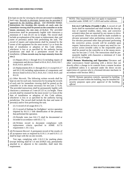be kept on-site for viewing by elevator personnel in ((either)) hard copy. Records in electronic format may be provided if approved by the *building official*. ((or electronic format. Instructions for locating the records of each unit for immediate viewing shall be posted on the controller or at the means necessary for test (see 2.7.6.4).)) The provided instructions shall be permanently legible with characters a minimum of 3 mm (0.125 in) in height. The record shall include an explanation of the repair or replacement, date, and name of person(s) and/or firm performing the task. The record of repairs and replacements shall be retained by the owner of the equipment for the most recent 5 yr or from the date of installation or adoption of this Code edition, whichever is less or as specified by the authority having jurisdiction and shall be a permanent record for the installation. ((These records may be kept remotely from the site.))

(1) Repairs (8.6.2.1 through 8.6.2.5) including repairs of components and devices listed in 8.6.4, 8.6.5, 8.6.6, 8.6.7, 8.6.8, 8.6.9, and 8.6.10.

(2) Replacements (8.6.3.1 through 8.6.3.11 except 8.6.3.7 and 8.6.3.10) including replacements of components and devices listed in 8.6.4, 8.6.5, 8.6.6, 8.6.7, 8.6.8, 8.6.9, and 8.6.10.

(c) *Other Records.* The following written records shall be kept on-site for each unit. Instruction for locating the records of each unit for immediate viewing shall be posted on the controller or at the means necessary for test (see 2.7.6.4). The provided instructions shall be permanently legible with characters a minimum of 3 mm (0.125 in.) in height. These records shall be retained for the most recent 5 yr from of the date of installation or adoption of this Code edition, whichever is less or as specified by the authority having jurisdiction. The record shall include the date and name of person(s) and/or firm performing the task.

(1) A record of oil usage (8.6.5.7).

(2) A record of findings for firefighters' service operation required by 8.6.11.1 with identification of the person(s) that performed the operation.

(3) Periodic tests (see 8.6.1.7) shall be documented or recorded in accordance with 8.6.1.7.2.

(4) Written record to document compliance with replacement criteria specified in ASME A17.6 requirement 1.10.1.1(c).

*(d) Permanent Record.* A permanent record of the results of all acceptance tests as required by 8.10.1.1.4 and 8.10.1.1.5 shall be kept with the on-site records.

Test tags, complying with 2.16.3.3 for marking plates (except lettering shall be 1.6 mm [0.0625 in]), permanently attached to or adjacent to the controller, shall meet this requirement.

NOTE: This requirement does not apply to equipment installed under ASME A17.1-2010 and earlier editions.

**8.6.1.4.2 Call Backs (Trouble Calls).** A record of call backs shall be maintained and shall include the description of reported troubles, dates, time, and corrective action(s) taken that are reported by any means to elevator personnel. These records shall be made available to elevator personnel when performing corrective action. For elevator personnel other than personnel performing the corrective action, records will be available upon request. Instructions on how to report any need for corrective action (trouble calls) to the responsible party shall be posted on the controller or at the means necessary for test (see 2.7.6.4). The instructions shall be permanently legible with characters a minimum of 3 mm  $(0.125$  in.) in height.

**3029.2 Remote Monitoring and Operation** Elevators and other conveyances found operating with a device that can directly effect a change in its controls from a remote location is prohibited unless it is operated under the direct on-site supervision of a person who is a licensed elevator mechanic in accordance with Section 3003.2.

NOTE: Remote operation controls, operated by building personnel located within the building, may be installed for security purposes upon prior approval of the *building official.*

 $\blacksquare$ 

I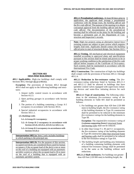**403.1.1 Presubmittal conference.** At least 60 days prior to application, the applicant shall arrange a presubmittal conference with the design team, the *building official* and the *fire code official*. The purpose of the meeting is to obtain conceptual approval from the *building official* and the *fire code official*. The documentation of the presubmit-tal meeting shall be reflected on the plans for the building and become a permanent part of the Department of Construction and Inspection's records.

**Note:** High rise projects using an alternative lateral force resisting system are subject to peer review which requires lengthy lead time. Applicants should contact the *building official* prior to start of structural design. See Section 1613.

**403.1.2 Testing.** All mechanical and electrical equipment installed according to *approved* plans and specifications pursuant to this section shall be tested and proven to be in proper working condition to the satisfaction of the *fire code official* before issuance of the Certificate of Occu-pancy. Such systems shall be maintained in accordance with the *International Fire Code*.

**403.2 Construction.** The construction of *high-rise buildings*  shall comply with the provisions of Sections 403.2.1 through 403.2.4.

**403.2.1 Reduction in fire-resistance rating.** The *fireresistance-rating* reductions listed in Sections 403.2.1.1 and 403.2.1.2 shall be allowed in buildings that have sprinkler control valves equipped with supervisory initiating devices and water-flow initiating devices for each floor.

**403.2.1.1 Type of construction.** The following reductions in the minimum *fire-resistance rating* of the building elements in Table 601 shall be permitted as follows:

1. For buildings not greater than 420 feet (128 000 mm) in *building height*, the *fire-resistance rating*  of the building elements in Type IA construction shall be permitted to be reduced to the minimum *fire-resistance ratings* for the building elements in Type IB.

**Exception:** The required *fire-resistance rating* of ((columns supporting floors)) structural frame and bearing walls shall not be reduced.

- 2. In other than Group F-1, M and S-1 occupancies, the *fire-resistance rating* of the building elements in Type IB construction other than structural frame and bearing walls shall be permitted to be reduced to the fire-resistance ratings in Type IIA.
- 3. The *building height* and building area limitations of a building containing building elements with reduced fire-resistance ratings shall be permitted to be the same as the building without such reductions.

**403.2.1.2 Shaft enclosures.** For buildings not greater than 420 feet (128 000 mm) in *building height*, the

# **SECTION 403 HIGH-RISE BUILDINGS**

**403.1 Applicability.** *High-rise buildings* shall comply with Sections 403.2 through 403.8 ((403.6)).

**Exception:** The provisions of Sections 403.2 through 403.6 shall not apply to the following buildings and structures:

- 1. Airport traffic control towers in accordance with Section 412.3.
- *2. Open parking garages* in accordance with Section 406.5.
- 3. The portion of a building containing a Group A-5 occupancy in accordance with Section 303.6.
- 4. Special industrial occupancies in accordance with Section 503.1.1.

((5. Buildings with:

5.1. A Group H 1 occupancy;

- 5.2. A Group H 2 occupancy in accordance with Section 415.8, 415.9.2, 415.9.3 or 426.1; or,
- 5.3. A Group H 3 occupancy in accordance with Section 415.8.)

**Interpretation I403.1a:** Item 2 only includes buildings in which parking is the principal use.

**Interpretation I403.1b:** For the purpose of this section, occupied roof decks are considered floors used for human occupancy if the occupant load of the deck is ten or more on the roof of a building not equipped with an *automatic sprinkler system* or where the occupant load is 50 or more on the roof of a building that is equipped with an *automatic sprinkler system*.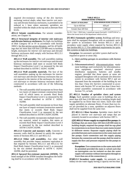required *fire-resistance rating* of the *fire barriers*  enclosing vertical *shafts*, other than *interior exit stairway* and elevator hoistway enclosures, is permitted to be reduced to 1 hour where automatic sprinklers are installed within the *shafts* at the top and at alternate floor levels.

**403.2.2 Seismic considerations.** For seismic considerations, see Chapter 16.

**403.2.3 Structural integrity of interior exit stairways and elevator hoistway enclosures.** For *high-rise buildings*  of *Risk Category* III or IV in accordance with Section 1604.5, for fire service access elevators, and for all buildings that are more than 420 feet (128 000 mm) in *building height*, enclosures for *interior exit stairways* and elevator hoistway enclosures shall comply with Sections 403.2.3.1 through 403.2.3.4.

**403.2.3.1 Wall assembly.** The wall assemblies making up the enclosures for *interior exit stairways* and elevator hoistway enclosures shall meet or exceed Soft Body Impact Classification Level 2 as measured by the test method described in ASTM C 1629/C 1629M.

**403.2.3.2 Wall assembly materials.** The face of the wall assemblies making up the enclosures for *interior exit stairways* and elevator hoistway enclosures that are not exposed to the interior of the enclosures for *interior exit stairways* or elevator hoistway enclosure shall be constructed in accordance with one of the following methods:

- 1. The wall assembly shall incorporate no fewer than two layers of impact-resistant construction board each of which meets or exceeds Hard Body Impact Classification Level 2 as measured by the test method described in ASTM C 1629/C 1629M.
- 2. The wall assembly shall incorporate no fewer than one layer of impact-resistant construction material that meets or exceeds Hard Body Impact Classification Level 3 as measured by the test method described in ASTM C1629/C1629M.
- 3. The wall assembly incorporates multiple layers of any material, tested in tandem, that meets or exceeds Hard Body Impact Classification Level 3 as measured by the test method described in ASTM C1629/C1629M.

**403.2.3.3 Concrete and masonry walls.** Concrete or masonry walls shall be deemed to satisfy the requirements of Sections 403.2.3.1 and 403.2.3.2.

**403.2.3.4 Other wall assemblies.** Any other wall assembly that provides impact resistance equivalent to that required by Sections 403.2.3.1 and 403.2.3.2 for Hard Body Impact Classification Level 3, as measured by the test method described in ASTM C 1629/C 1629M, shall be permitted.

**403.2.4 Sprayed fire-resistant materials (SFRM).** The bond strength of the SFRM installed throughout the building shall be in accordance with Table 403.2.4.

| <b>TABLE 403.2.4</b>         |  |  |  |  |  |  |
|------------------------------|--|--|--|--|--|--|
| <b>MINIMUM BOND STRENGTH</b> |  |  |  |  |  |  |

| <b>HEIGHT OF BUILDING<sup>a</sup></b> | <b>SFRM MINIMUM BOND STRENGTH</b> |
|---------------------------------------|-----------------------------------|
| Up to 420 feet                        | $430$ psf                         |
| Greater than 420 feet                 | $1,000$ psf                       |

For SI: 1 foot = 304.8 mm, 1 pound per square foot (psf) =  $0.0479 \text{ kW/m}^2$ . a. Above the lowest level of fire department vehicle access.

**[F] 403.3 Automatic sprinkler system.** Buildings and structures shall be equipped throughout with an *automatic sprinkler system* in accordance with Section 903.3.1.1 and a secondary water supply where required by Section 403.3.3. See Section 903.3.1.1.3 for additional requirements for sprinkler systems in high-rise buildings.

**Exception:** An *automatic sprinkler system* shall not be required in spaces or areas of $((\div)$ 

#### 1. *Open parking garages* in accordance with Section 406.5.

2. Telecommunications) telecommunications equipment buildings used exclusively for telecommunications equipment, associated electrical power distribution equipment, batteries and standby engines, provided that those spaces or areas are equipped throughout with an automatic *fire detection system* in accordance with Section 907.2 and are separated from the remainder of the building by not less than 1-hour *fire barriers* constructed in accordance with Section 707 or not less than 2-hour *horizontal assemblies* constructed in accordance with Section 711, or both.

**[F] 403.3.1 Number of sprinkler risers and system design.** Each sprinkler system zone in buildings that are more than 420 feet (128 000 mm) in *building height* shall be supplied by no fewer than two risers. Each riser shall supply sprinklers on alternate floors. If more than two risers are provided for a zone, sprinklers on adjacent floors shall not be supplied from the same riser.

**[F] 403.3.1.1 Riser location.** Sprinkler risers shall be placed in *interior exit stairways* and ramps that are remotely located in accordance with Section 1007.1.

**(([F] 403.3.2 Water supply to required fire pumps.** In buildings that are more than 420 feet (128 000 mm) in *building height*, required fire pumps shall be sup plied by connections to no fewer than two water mains located in different streets. Separate supply piping shall be provided between each connection to the water main and the pumps. Each connection and the supply piping between the connection and the pumps shall be sized to supply the flow and pressure required for the pumps to operate.

**Exception:** Two connections to the same main shall be permitted provided the main is valved such that an interruption can be isolated so that the water supply will continue without interruption through no fewer than one of the connections.))

**[F]403.3.3 Secondary water supply.** An automatic secondary on-site water supply having a capacity not less than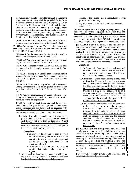the hydraulically calculated sprinkler demand, including the hose stream requirement, shall be provided for *high-rise buildings* assigned to Seismic Design Category C, D, E or F as determined by Section 1613. An additional fire pump shall not be required for the secondary water supply unless needed to provide the minimum design intake pres-sure at the suction side of the fire pump supplying the *automatic sprinkler system*. The secondary water supply shall have a duration of not less than 30 minutes.

**[F] 403.3.4 Fire pump room.** Fire pumps shall be located in rooms protected in accordance with Section 913.2.1.

**[F] 403.4 Emergency systems.** The detection, alarm and emergency systems of *high-rise buildings* shall comply with Sections 403.4.1 through 403.4.8.

**[F] 403.4.1 Smoke detection.** Smoke detection shall be provided in accordance with Section 907.2.13.1.

**[F] 403.4.2 Fire alarm system.** A *fire alarm* system shall be provided in accordance with Section 907.2.13.

**[F] 403.4.3 Standpipe system.** A *high-rise building* shall be equipped with a standpipe system as required by Section 905.3.

**[F] 403.4.4 Emergency voice/alarm communication system.** An *emergency voice/alarm communication system* shall be provided in accordance with Section 907.5.2.2.

**[F] 403.4.5 Emergency responder radio coverage.**  Emergency responder radio coverage shall be provided in accordance with Section 510 of the *International Fire Code*.

**[F] 403.4.6 Fire command.** A *fire command center* complying with Section 911 shall be provided in a location *approved* by the fire department.

**403.4.7 No requirements. ((Smoke removal.** To facili-tate smoke removal in post fire salvage and overhaul operations, buildings and structures shall be equipped with natural or mechanical *ventilation* for removal of products of combustion in accordance with one of the following:

1. Easily identifiable, manually operable windows or panels shall be distributed around the perimeter of each floor at not more than 50 foot (15 240 mm) intervals. The area of operable windows or panels shall be not less than  $40$  square feet  $(3.7 \text{ m2})$  per  $50$ linear feet (15 240 mm) of perimeter.

#### **Exceptions:**

- 1. In Group R 1occupancies, each *sleeping unit* or suite having an *exterior wall* shall be permitted to be provided with 2 square feet (0.19 m2) of venting area in lieu of the area specified in Item 1.
- 2. Windows shall be permitted to be fixed provided that glazing can be cleared by fire fighters.
- 2. Mechanical air handling equipment providing one exhaust air change every 15 minutes for the area involved. Return and exhaust air shall be moved

directly to the outside without recirculation to other portions of the building.

3. Any other *approved* design that will produce equiva lent results.)

**[F] 403.4.8 ((Standby and e))Emergency power.** ((A standby power system complying with Section 2702 and Section 3003 shall be provided for the standby power loads specified in Section 403.4.8.3.)) An *emergency power system* complying with Section 2702 shall be pro-vided for the emergency power loads specified in Section 403.4.8.4.

**[F] 403.4.8.1 Equipment room.** If the ((standby or)) *emergency power system* includes a generator set inside a building, the system shall be located in a separate room enclosed with 2-hour*fire barriers* constructed in accordance with Section 707 or *horizontal assemblies*  constructed in accordance with Section 711, or both. System supervision with manual start and transfer features shall be provided at the *fire command center.*

#### **Exceptions:**

- 1. In Group I-2, Condition 2, manual start and transfer features for the critical branch of the emergency power are not required to be provided at the *fire command center*.
- 2. Where located within a sprinklered parking garage of Type I or II construction, emergency power and *legally required standby power systems* with fixed fuel quantities meeting the limits of Section 603.3 of the *International Fire Code*, and their transfer switches, are not required to be in a separate room. Other occu-pancies located in the *story* where the system is located shall be separated from the system by fire barriers with a minimum 1 hour fire-resistance rating.
- 3. Combustion and radiator intake air are permit-ted to be transferred from the adjacent garage. Radiator discharge air is permitted to be transferred to the adjacent garage. Radiator ventilation intake and discharge air locations shall be separated to maintain the radiator ventilation intake air temperature below the maximum temperature allowed to meet the emergency and *legally required standby power system* loads.

**[F] 403.4.8.2 Fuel line piping protection.** Fuel lines supplying a generator set inside a building shall be separated from areas of the building other than the room the generator is located in by an *approved* method or assembly that has a fire-resistance rating of not less than 1 hour. ((2 hours where the building is protected throughout with an *automatic sprinkler system* installed in accordance with Section 903.3.1.1 or 903.3.1.2, the required fire resistance rating shall be reduced to 1  $hour.)$ 

**(([F] 403.4.8.3 Standby power loads.** The following are classified as standby power loads: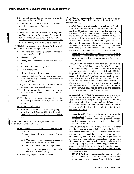- 1. Power and lighting for the *fire command center*  required by Section 403.4.6.
- 2. *Ventilation* and automatic fire detection equip- ment for *smokeproof enclosures*.
- 3. Elevators.
- 4. Where elevators are provided in a *high rise building* for *accessible means of egress*, fire service access or occupant self evacuation, the standby power system shall also comply with Sections 1009.4, 3007 or 3008, as applicable.)

**[F] 403.4.8.4 Emergency power loads.** The following are classified as emergency power loads:

- 1. Exit signs and *means of egress* illumination required by Chapter 10.
- 2. Elevator car lighting.
- 3. Emergency voice/alarm communications systems.
- 4. Automatic *fire detection systems*.
- 5. Fire alarm systems.
- 6. Electrically powered fire pumps.
- 7. Power and lighting for mechanical equipment rooms and the fire command center required by Section 403.4.6.
- 8. Lighting for elevator cars, machine rooms, machine spaces and control rooms.
- 9. Ventilation and cooling equipment for elevator machine rooms, machine spaces and control rooms.
- 10. Ventilation and automatic fire detection equipment for pressurized stairways and elevator hoistways.
- 11. Smoke control system.
- 12. A selected elevator in each elevator group, in accordance with Section 3016.6. All elevators shall be transferable to an *emergency power system*.

**Note:** No more than four cars are permitted within a hoistway. See Section 3016.7.

- 13. For fire service access and occupant evacuation elevators:
	- 13.1 Operation of all fire service access elevator cars.
	- 13.2 Operation of all occupant evacuation elevators until they are recalled.
	- 13.3. Elevator controller cooling equipment.
	- 13.4. For fire service access elevators only, elevator hoistway lighting.
- 14. Emergency responder radio coverage.

**403.5 Means of egress and evacuation.** The *means of egress*  in *high-rise buildings* shall comply with Sections 403.5.1 through 403.5.6.

**403.5.1 Remoteness of interior exit stairways.** Required *interior exit stairways* shall be separated by a distance not less than 30 feet (9144 mm) or not less than one-fourth of the length of the maximum overall diagonal dimension of the building or area to be served, whichever is less. The distance shall be measured in a straight line between the nearest points of the enclosure surrounding the *interior exit stairways*. In buildings with three or more *interior exit stairways,* no fewer than two of the *interior exit stairways*  shall comply with this section. Interlocking or *scissor stairways* shall be counted as one *interior exit stairway.*

**Exception:** In buildings containing primarily Group R occupancies, required interior exit stairways are permitted to be separated by a distance not less than 15 feet (4572 mm).

**403.5.2 Additional interior exit stairway.** For buildings other than Group R-2 that are more than 420 feet (128 000 mm) in *building height*, one additional *interior exit stairway*  meeting the requirements of Sections 1011 and 1023 shall be provided in addition to the minimum number of *exits*  required by Section 1006.3. The stairway need only serve floors above the lowest level of exit discharge. The total width of any combination of remaining *interior exit stairways* with one *interior exit stairway* removed shall be not less than the total width required by Section 1005.1. *Scissor stairways* shall not be considered the additional *interior exit stairway* required by this section.

**Interpretation I403.5.2** An additional interior exit stairway is not required when the building above the 420 foot level contains only Group R-2 occupancy. If the building above the 420 foot level contains a Group R-2 and another occupancy, or if the building does not contain a Group R-2 above the 420 foot level, then an additional interior exit stairway is required.

**Exception:** ((An)) Subject to the approval of the *build ing official*, an additional *interior exit stairway* shall not be required to be installed in buildings having elevators used for occupant self-evacuation in accordance with Section ((3008)) 403.6.2.

**403.5.3 Stairway door operation.** *Stairway* doors other than the *exit discharge* doors shall be permitted to be locked from the *stairway* side. *Stairway* doors that are locked from the *stairway* side shall be capable of being unlocked simultaneously without unlatching upon a signal from the *fire command center* and shall be capable of being unlocked simultaneously and automatically upon a signal from a fire alarm originating anywhere in the building. When stairway doors are installed that are not locked from the stairway side, wiring shall be installed to facilitate future installations of locking hardware.

**403.5.3.1 Stairway communication system.** A telephone or other two-way communications system connected to an *approved constantly attended station* shall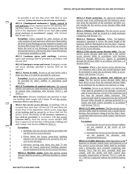be provided at not less than every fifth floor in each *stairway* ((where the doors to the *stairway* are locked)).

**403.5.4** ((**Smokeproof enclosures.**)) **Smoke control in exit stairways.** Every required *interior exit stairway* serving floors more than 75 feet (22 860 mm) above the lowest level of fire department vehicle access shall ((be a *smoke proof enclosure* in accordance)) comply with Sections 909.20 and 1023.11.

**Exception:** Unless required by other sections of this code, portions of such stairways which serve floors below the level of exit discharge are not required to comply with Sections 909.20 and 1023.11 if the portion of the stairway below the level of exit discharge is separated from the pressurized stairway with not less than 1 hour fire barriers or horizontal assemblies or both.

**403.5.5 Luminous egress path markings.** Luminous egress path markings shall be provided in accordance with Section 1025.

**403.5.6 Emergency escape and rescue.** Emergency escape and rescue openings specified in Section 1030 are not required.

**403.5.7 Access to roofs.** Access to all roof levels with a slope less than 4:12 shall be provided by stairways.

**Exception:** Access to unoccupied roofs is permitted to be provided by ship's ladders or alternating tread devices.

**403.5.8 Termination of required stairways.** All required interior exit stairways shall terminate at the roof level with an exterior door complying with Sections 1010.1.1 and 1010.1.2.

**403.6 Elevators.** Elevator installation and operation in *highrise buildings* shall comply with Chapter 30 and this section.  $((\text{Sections } 403.6.1 \text{ and } 403.6.2))$ 

**403.6.1 Fire service access elevator.** In buildings with an occupied floor more than 120 feet (36 576 mm) above the lowest level of fire department vehicle access, every floor of the building shall be served by no fewer than two fire service access elevators((, or all elevators, whichever is less, shall be provided)) in accordance with this section ((Section 3007)). Each fire service access elevator shall have a capacity of not less than 3,500 pounds (1588 kg) and shall comply with Section ((3002.4)) 3016.12.

#### **Exceptions:**

Ï

- 1. Buildings with one elevator shall be provided with one fire service access elevator.
- 2. Floors below the lowest street-level building entrance are not required to be served by fire service access elevators.
- 3. Elevators serving only floors less than 75 feet above the lowest street-level building entrance are not required to be fire service access elevators.

**403.6.1.1 Machine rooms.** Each fire service access elevator shall be served by a different machine or control room.

**403.6.1.2 Water protection.** An *approved* method to prevent water from infiltrating into the hoistway enclosure from the operation of the *automatic sprinkler system* outside the fire service access elevator lobby shall be provided.

**403.6.1.3 Hoistway enclosures.** The fire service access elevator hoistway shall be located in a shaft enclosure complying with Section 713.

**403.6.1.4 Hoistway lighting.** When fire-fighters' emergency operation is active, the entire height of the hoistway shall be illuminated at not less than 1 footcandle (11 lux) as measured from the top of the car of each fire service access elevator.

**403.6.1.5 Fire service access elevator lobby**. The fire service access elevator shall open into a fire service access elevator lobby in accordance with Sections 403.6.1.5 through 403.6.1.5.5. Egress is permitted through the elevator lobby in accordance with Item 1 of Section 1016.2.

**Exception:** Where a fire service access elevator has two entrances onto a floor, the second entrance shall be permitted to open into an elevator lobby in accordance with Section 713.14.1.

**403.6.1.5.1 Access to interior exit stairway or ramp.** The fire service access elevator lobby shall have *direct access* from the enclosed elevator lobby to an enclosure for an interior exit stairway or ramp.

**Exception:** Access to an *interior exit stairway* or *ramp* shall be permitted to be through a protected path of travel that has a level of fire protection not less than the elevator lobby enclosure. The protected path shall be separated from the enclosed elevator lobby through an opening protected by a smoke and draft control assembly in accordance with Section 716.5.3.

**403.6.1.5.2 Lobby enclosure.** The fire service access elevator lobby shall be enclosed with a smoke barrier having a fire-resistance rating of not less than 1 hour, except that lobby doorways shall comply with Section 403.6.1.5.3.

# **Exceptions:**

- 1. Enclosed fire service access elevator lobbies are not required at the *levels of exit discharge*.
- 2. Enclosed fire service access elevator lobbies are not required for elevators with pressurized hoistways.

**403.6.1.5.3 Lobby doorways.** Other than doors to the hoistway or elevator control room, each doorway to a fire service access elevator lobby shall be provided with a 3/4-hour*fire door assembly* complying with Section 716.5. The *fire door assembly* shall also comply with the smoke and draft control door assembly requirements of Section 716.5.3.1 with the UL 1784 test conducted without the artificial bottom seal.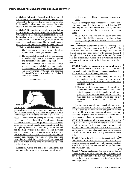**403.6.1.5.4 Lobby size.** Regardless of the number of fire service access elevators served by the same elevator lobby, the enclosed fire service access elevator lobby shall be not less than  $150$  square feet  $(14 \text{ m}^2)$  in area with a minimum dimension of 8 feet (2440 mm).

**403.6.1.5.5 Fire service access elevator symbol.** A pictorial symbol of a standardized design designating which elevators are fire service access elevators shall be installed on each side of the hoistway door frame on the portion of the frame at right angles to the fire service access elevator lobby. The fire service access elevator symbol shall be designed as shown in Figure 403.6.1.5.5 and shall comply with the following:

- 1. The fire service access elevator symbol shall be not less than 3 inches (76 mm) in height.
- 2. The helmet shall contrast with the background, with either a light helmet on a dark background
- or a dark helmet on a light background. I

ı  $\blacksquare$ 

3. The vertical center line of the fire service  $\blacksquare$ access elevator symbol shall be centered on the hoistway door frame. Each symbol shall be not less than 78 inches (1981 mm), and not more than 84 (2134 mm) inches above the finished floor at the threshold.

# **FIGURE 403.6.1.5.5**



access elevator shall be continuously monitored at the fire command center by a standard emergency service interface system meeting the requirements of NFPA 72. **403.6.1.7 Protection of wiring or cables.** Wires or cables that are located outside of the elevator hoistway and machine room and that provide normal or emergency power, control signals, communication with the car, lighting, heating, air conditioning, *ventilation* and fire-detecting systems to fire service access elevators shall be protected by construction having a *fire-resistance rating* of not less than 2 hours, shall be a circuit integrity cable having a *fire-resistance rating* of not less than 2 hours or shall be protected by a listed electrical protective system having a*fire-resistance rating* of not less than 2 hours.

**Exception:** Wiring and cables to control signals are not required to be protected provided that wiring and

cables do not serve Phase II emergency in-car operations.

**403.6.1.8 Standpipe hose connection.** A Class I standpipe hose connection in accordance with Section 905 shall be provided in the interior exit stairway and ramp having direct access from the fire service access elevator lobby.

**403.6.1.8.1 Access.** The exit enclosure containing the standpipe shall have access to the floor without passing through the fire service access elevator lobby.

**403.6.2 Occupant evacuation elevators.** ((Where)) Elevators installed for compliance with Section 403.5.2, ((in accordance with Section 3008, passenger elevators for general public use)) shall comply with Sections 403.6.2.1 through 403.6.2.10.1. ((be permitted to be used for occupant self evacuation.)) Where other elevators are used for occupant self-evacuation, they shall also comply with these sections.

**403.6.2.1 Number of occupant evacuation elevators.**  The number of elevators available for occupant evacuation shall be determined based on an egress analysis that addresses both of the following scenarios:

ı

Ï

I

ı ı I ı I ı I ı

- 1. Full building evacuation where the analysis demonstrates that the number of elevators provided for evacuation results in an evacuation time less than one hour.
- 2. Evacuation of the 4 consecutive floors with the highest cumulative occupant load where the analysis demonstrates that the number of elevators provided for evacuation results in an evacuation time less than 15 minutes. Floors that are not atmospherically separated are considered one floor.

A minimum of one elevator in each elevator group shall be designated for occupant evacuation. Not less than two shall be provided in each occupant evacuation elevator lobby where more than one elevator opens into the lobby. Signage shall be provided to denote which elevators are available for occupant evacuation.

**403.6.2.2 Fire safety and evacuation plan.** The building shall have an *approved* fire safety and evacuation plan in accordance with the applicable requirements of Section 404 of the International Fire Code. The fire safety and evacuation plan shall incorporate specific procedures for the occupants using evacuation elevators.

**403.6.2.3 Operation.** The occupant evacuation elevators shall be used for occupant self-evacuation in accordance with the occupant evacuation operation requirements in ASME A17.1/CAS B44 and the build-ing's fire safety and evacuation plan.

**403.6.2.4 Water protection.** An *approved* method to prevent water from infiltrating into the hoistway enclosure from the operation of the *automatic sprinkler system*  outside the enclosed occupant evacuation elevator lobby shall be provided.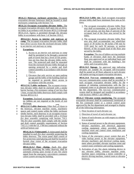**403.6.2.5 Hoistway enclosure protection.** Occupant evacuation elevator hoistways shall be located in shaft enclosures complying with Section 713.

**403.6.2.6 Occupant evacuation elevator lobby.** The occupant evacuation elevators shall open into an elevator lobby in accordance with Sections 403.6.2.6 through 403.6.2.6.6. Egress is permitted through the elevator lobby in accordance with Item 1 of Section 1016.2.

**403.6.2.6.1 Access to interior exit stairway or**  ramp. The occupant evacuation elevator lobby shall have *direct access* from the enclosed elevator lobby to an *interior exit stairway* or *ramp*.

# **Exceptions:**

I I

> I ı

ı П I Г п

- 1. Access to an *interior exit stairway* or *ramp*  shall be permitted to be through a protected path of travel that has a level of fire protection not less than the elevator lobby enclosure. The protected path shall be separated from the enclosed elevator lobby through an opening protected by a smoke and draft control assembly in accordance with Section 716.5.3.
- 2. Elevators that only service an open parking garage and the lobby of the building shall not be required to provide direct access in accordance with this section.

**403.6.2.6.2 Lobby enclosure.** The occupant evacuation elevator lobby shall be enclosed with a smoke barrier having a fire-resistance rating of not less than 1 hour, except that lobby doorways shall comply with Section 403.6.2.6.3.

**Exception:** Enclosed occupant evacuation elevator lobbies are not required at the levels of exit discharge.

п **403.6.2.6.3 Lobby doorways.** Other than the doors to

 $\mathbf{I}$ the hoistway, elevator machine rooms, machinery

- spaces and control rooms within the lobby enclosure  $\mathbf{I}$
- smoke barrier, each doorway to an occupant evacuation elevator lobby shall be provided with a 3/4-hour *fire door assembly* complying with Section 716.5. The *fire door assembly* shall comply with the smoke and draft control assembly requirements of Section 716.5.3.1 with the UL 1784 test conducted without the artificial bottom seal.

**403.6.2.6.3.1 Vision panel.** A vision panel shall be installed in each *fire door assembly* protecting the lobby doorway. The vision panel shall consist of fire-protection-rated glazing and shall be located to furnish clear vision of the occupant evacuation elevator lobby.

**403.6.2.6.3.2 Door closing.** Each *fire door assembly* protecting the lobby doorway shall be automatic-closing upon receipt of any fire alarm signal from the *emergency voice/alarm communication system* serving the building.

**403.6.2.6.4 Lobby size**. Each occupant evacuation elevator lobby shall have minimum floor area as follows:

- 1. The occupant evacuation elevator lobby floor area shall accommodate, at 3 square feet (0.28 m<sup>2</sup>) per person, not less than 25 percent of the occupant load of the floor area served by the lobby.
- 2. The occupant evacuation elevator lobby floor area also shall accommodate one wheelchair space of 30 inches by 48 inches (760 mm by 1220 mm) for each 50 persons, or portion thereof, of the occupant load of the floor area served by the lobby.

**Exception:** The size of lobbies serving multiple banks of elevators shall have the minimum floor area *approved* on an individual basis and shall be consistent with the building's fire safety and evacuation plan.

**403.6.2.6.5 Signage.** An *approved* sign indicating elevators are suitable for occupant self-evacuation shall be posted on all floors adjacent to each elevator call station serving occupant evacuation elevators.

**403.6.2.6.6 Two-way communication system.** A two-way communication system shall be provided in each occupant evacuation elevator lobby for the purpose of initiating communication with the fire command center or an alternate location *approved* by the fire department. The two-way communication system shall be designed and installed in accordance with Sections 1009.8.1 and 1009.8.2.

**403.6.2.7 Elevator system monitoring.** The occupant evacuation elevators shall be continuously monitored at the fire command center or a central control point *approved* by the fire department and arranged to display all of the following information:

- 1. Floor location of each elevator car.
- 2. Direction of travel of each elevator car.
- 3. Status of each elevator car with respect to whether it is occupied.
- 4. Status of normal power to the elevator equipment, elevator machinery and electrical apparatus cooling equipment where provided, elevator machine room and control room ventilation and cooling equipment.
- 5. Status of the *emergency power system* that provides backup power to the elevator equipment, elevator machinery and electrical cooling equipment where provided, elevator machine room and control room *ventilation* and cooling equipment.
- 6. Activation of any fire alarm initiating device in any elevator lobby, elevator machine room, machine space containing a motor controller or electric driving machine, control room or elevator hoistway.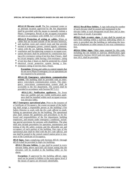#### **SPECIAL DETAILED REQUIREMENTS BASED ON USE AND OCCUPANCY**

**403.6.2.8 Elevator recall.** The fire command center or an alternate location *approved* by the fire department shall be provided with the means to manually initiate a Phase I Emergency Recall of the occupant evacuation elevators in accordance with ASME A17.1/CSA B44.

**403.6.2.9 Protection of wiring or cables.** Wires or cables that are located outside of the elevator hoistway, and machine room and control room and that provide normal or emergency power, control signals, communi-

 $\mathbf{I}$ 

- I. cation with the car, lighting, heating, air conditioning,
- *ventilation* and fire-detecting systems to occupant evac- $\mathbf{I}$
- uation elevators shall be protected by construction hav- $\mathbf{L}$ ing a *fire-resistance rating* of not less than 2 hours, shall
- be circuit integrity cable having a fire-resistance rating
- L of not less than 2 hours or shall be protected by a listed
- l electrical circuit protective system having a fireresistance rating of not less than 2 hours.

**Exception:** Wiring and cables to control signals that do not serve Phase II emergency in-car operations are not required to be protected.

**403.6.2.10 Emergency voice/alarm communication system.** The building shall be provided with an emergency voice/alarm communication system. The emergency voice/alarm communication system shall be accessible to the fire department. The system shall be provided in accordance with Section 907.5.2.2.

**403.6.2.10.1 Notification appliances.** No fewer than one audible and one visible notification appliance shall be installed within each occupant evacuation elevator lobby.

**403.7 Emergency operational plan**. Prior to the issuance of a Certificate of Occupancy, the owner-occupant of the building shall assign a responsible person as the building's Fire Safety Director to work with the *fire code official* in establishing an operational plan for the building. The operational plan shall contain the guidelines and procedures to be followed and responsibilities of the fire department, building employees, and tenants under emergency conditions, including special provisions for persons with disabilities. The plan shall also include procedures for operation, maintenance and testing of the life safety systems and the allowable use and occupancy of each portion of the building. One copy of the operational plan shall be filed with the *fire code official*, and one shall be posted in the central control station prior to issuance of the Certificate of Occupancy.

**403.8 Signs.** Signs complying with Sections 403.8.1 through 403.8.4 shall be provided in *high-rise buildings*.

**403.8.1 Elevator lobbies.** A sign shall be posted in every elevator lobby above each hall call fixture noting that the elevators will be recalled to the building lobby on fire alarm.

**Exception:** If *approved* by the *building official*, signs need not be posted in lobbies at the main egress level if the means of egress are obviously identifiable.

**403.8.2 Recall floor lobbies.** A sign indicating the number of each elevator shall be posted and maintained in the elevator lobby at each designated recall floor and at alternate floors of recall, if provided.

**403.8.3 Stair re-entry signs.** A sign shall be posted on each floor landing within a stairway indicating where reentry is provided into the building or indicating the location of telephones or other means of two-way communication.

**403.8.4 Other signs.** Other signs required by this code, including but not limited to stairway identification signs required by Section 1023.9 and exit signs required by Section 1013, shall be provided.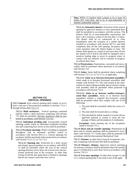**Note:** NFPA 13 requires draft curtains to be at least 18 inches (457 mm) deep, and to be of noncombustible or limited-combustible material.

**712.1.3.2 Automatic shutters.** Protection of the vertical opening by *approved* shutters at every penetrated floor shall be permitted in accordance with this section. The shutters shall be of noncombustible construction and have a *fire-resistance rating* of not less than 1.5 hours. The shutter shall be so constructed as to close immediately upon the actuation of a smoke detector installed in accordance with Section 907.3.1 and shall completely shut off the well opening. Escalators shall cease operation when the shutter begins to close. The shutter shall operate at a speed of not more than 30 feet per minute (152.4 mm/s) and shall be equipped with a sensitive leading edge to arrest its progress where in contact with any obstacle, and to continue its progress on release there from.

**712.1.4 Penetrations.** Penetrations, concealed and unconcealed, shall be permitted where protected in accordance with Section 714.

**712.1.5 Joints.** Joints shall be permitted where complying with Section 712.1.5.1 or 712.1.5.2, as applicable.

**712.1.5.1 Joints in or between horizontal assemblies.**  Joints made in or between *horizontal assemblies* shall comply with Section 715. The void created at the intersection of a floor/ceiling assembly and an exterior curtain wall assembly shall be permitted where protected in accordance with Section 715.4.

**712.1.5.2 Joints in or between nonfire-resistancerated floor assemblies.** Joints in or between floor assemblies without a required *fire-resistance rating*  shall be permitted where they comply with one of the following:

- 1. The joint shall be concealed within the cavity of a wall.
- 2. The joint shall be located above a ceiling.
- 3. The joint shall be sealed, treated or covered with an *approved* material or system to resist the free passage of flame and the products of combustion.

**Exception:** Joints meeting one of the exceptions listed in Section 715.1.

**712.1.6 Ducts and air transfer openings.** Penetrations by ducts and air transfer openings shall be protected in accordance with Section 717. Grease ducts shall be protected in accordance with the *International Mechanical Code*.

**712.1.7 Atriums.** In other than Group H occupancies, atriums complying with Section 404 shall be permitted.

**712.1.8 Masonry chimney.** *Approved* vertical openings for masonry chimneys shall be permitted where the annular space is fireblocked at each floor level in accordance with Section 718.2.5.

**712.1.9 Two-story openings.** In other than Groups I-2 and I-3, a vertical opening that is not used as one of the appli-

# **SECTION 712 VERTICAL OPENINGS**

.

**712.1 General.** Each vertical opening shall comply in accordance with one of the protection methods in Sections 712.1.1 through  $((712.1.16))$  712.1.17.

**712.1.1 Shaft enclosures.** Vertical openings contained entirely within a shaft enclosure complying with Section 713 shall be permitted. Elevator hoistways shall be protected in accordance with Section 713.14.2.

**712.1.2 Individual dwelling unit.** Unconcealed vertical openings totally within an individual residential *dwelling unit* and connecting four *stories* or less shall be permitted.

**712.1.3 Escalator openings.** Where a *building* is equipped throughout with an *automatic sprinkler system* in accordance with Section 903.3.1.1, vertical openings for escalators shall be permitted where protected in accordance with Section 712.1.3.1 or 712.1.3.2.

**712.1.3.1 Opening size.** Protection by a draft curtain and closely spaced sprinklers in accordance with NFPA 13 shall be permitted where the area of the vertical opening between *stories* does not exceed twice the horizontal projected area of the escalator. In other than Groups B and M, this application is limited to openings that do not connect more than four *stories*.

ı п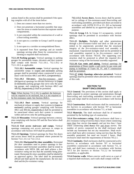cations listed in this section shall be permitted if the opening complies with all of the items below:

- 1. Does not connect more than two *stories*.
- 2. Does not penetrate a horizontal assembly that separates fire areas or smoke barriers that separate smoke compartments.
- 3. Is not concealed within the construction of a wall or a floor/ceiling assembly.
- 4. Is not open to a corridor in Group I and R occupancies.
- 5. Is not open to a corridor on nonsprinklered floors.
- 6. Is separated from floor openings and air transfer openings serving other floors by construction conforming to required shaft enclosures.

**712.1.10 Parking garages.** Vertical openings in parking garages for automobile ramps, elevators and duct systems shall comply with Section 712.1.10.1, 712.1.10.2 or 712.1.10.3, as applicable.

**712.1.10.1 Automobile ramps.** Vertical openings for automobile ramps in ((open and enclosed)) parking garages shall be permitted where constructed in accordance with Sections 406.5 and 406.6, ((respectively)).

**712.1.10.2 Elevators.** Non-fire-resistance rated  $(\forall)$ )**v**ertical openings for elevator hoistways in  $((\forall)$ or enclosed)) parking garages that serve only the parking garage, and complying with Sections 406.5 and  $406.6((, respectively,))$  shall be permitted.

**Note:** When Section 712.1.10.2 is applied, the hoistway will be required to be enclosed, but it is not required to be fire-resistance rated. See Section 3020.1.

**712.1.10.3 Duct systems.** Vertical openings for mechanical exhaust or supply duct systems in ((open or enclosed)) parking garages complying with Sections 406.5 and  $406.6(($ <del>, respectively,</del>)) shall be permitted to be unenclosed where such duct system is contained within and serves only the parking garage.

**712.1.11 Mezzanine.** Vertical openings between a mezzanine complying with Section 505 and the floor below shall be permitted.

**712.1.12 Exit access stairways and ramps.** Vertical openings containing *exit access stairways* or *ramps* in accordance with Section 1019 shall be permitted.

**712.1.13 Openings.** Vertical openings for floor fire doors and access doors shall be permitted where protected by Section 712.1.13.1 or 712.1.13.2.

**712.1.13.1 Horizontal fire door assemblies.** Horizontal *fire door* assemblies used to protect openings in fireresistance-rated *horizontal assemblies* shall be tested in accordance with NFPA 288, and shall achieve a *fireresistance rating* not less than the assembly being penetrated. Horizontal *fire door* assemblies shall be labeled by an *approved agency*. The *label* shall be permanently affixed and shall specify the manufacturer, the test standard and the *fire-resistance rating*.

**712.1.13.2 Access doors.** Access doors shall be permitted in ceilings of fire-resistance-rated floor/ceiling and roof/ceiling assemblies, provided such doors are tested in accordance with ASTM E119 or UL 263 as horizontal assemblies and labeled by an approved agency for such purpose.

**712.1.14 Group I-3.** In Group I-3 occupancies, vertical openings shall be permitted in accordance with Section 408.5.

**712.1.15 Skylights.** Skylights and other penetrations through a *fire-resistance-rated* roof deck or slab are permitted to be unprotected, provided that the structural integrity of the *fire-resistance-rated* roof assembly is maintained. Unprotected skylights shall not be permitted in roof assemblies required to be *fire-resistance rated* in accordance with Section 705.8.6. The supporting construction shall be protected to afford the required *fireresistance rating* of the *horizontal assembly* supported.

**712.1.16 Gas vents and piping.** Vertical openings for penetrations of floors inside a wall cavity by gas vents and piping in buildings of Types III, IV, and V construction shall be permitted.

**712.1.17 ((16)) Openings otherwise permitted.** Vertical openings shall be permitted where allowed by other sections of this code.

# **SECTION 713 SHAFT ENCLOSURES**

**713.1 General.** The provisions of this section shall apply to shafts required to protect openings and penetrations through floor/ceiling and roof/ceiling assemblies. *Interior exit stairways* and *ramps* shall be enclosed in accordance with Section 1023.

**713.2 Construction.** Shaft enclosures shall be constructed as *fire barriers* in accordance with Section 707 or horizontal assemblies in accordance with Section 711, or both.

**713.3 Materials.** The shaft enclosure shall be of materials permitted by the building type of construction.

**713.4 Fire-resistance rating.** *Shaft enclosures* shall have a *fire-resistance rating* of not less than 2 hours where connecting more than four *stories* ((or more)), and not less than 1 hour where connecting ((less than)) four and fewer *stories*. The number of *stories* connected by the *shaft enclosure* shall include any basements but not any *mezzanines*. *Shaft enclosures* shall have a*fire-resistance rating* not less than the floor assembly penetrated, but need not exceed 2 hours. *Shaft enclosures* shall meet the requirements of Section 703.2.1.

**713.5 Continuity.** Shaft enclosures shall be constructed as *fire barriers* in accordance with Section 707 or *horizontal assemblies* constructed in accordance with Section 711, or both, and shall have continuity in accordance with Section 707.5 for *fire barriers* or Section 711.2.2 for *horizontal assemblies,* as applicable.

**713.6 Exterior walls.** Where *exterior walls* serve as a part of a required shaft enclosure, such walls shall comply with the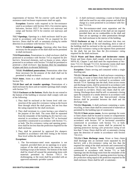requirements of Section 705 for *exterior walls* and the fireresistance-rated enclosure requirements shall not apply.

**Exception:** Exterior walls required to be fire-resistance rated in accordance with Section 1021.2 for exterior egress balconies, Section 1023.7 for interior *exit* stairways and ramps and Section 1027.6 for exterior *exit* stairways and ramps.

**713.7 Openings.** Openings in a shaft enclosure shall be protected in accordance with Section 716 as required for *fire barriers*. Doors shall be self- or automatic-closing by smoke detection in accordance with Section 716.5.9.3.

**713.7.1 Prohibited openings.** Openings other than those necessary for the purpose of the shaft shall not be permitted in shaft enclosures.

**713.8 Penetrations.** Penetrations in a *shaft enclosure* shall be protected in accordance with Section 714 as required for *fire barriers*. Structural elements, such as beams or joists, where protected in accordance with Section 714 shall be permitted to penetrate a *shaft enclosure*. See Section 3022 for installation of pipes and ducts in elevator hoistways.

**713.8.1 Prohibited penetrations.** Penetrations other than those necessary for the purpose of the shaft shall not be permitted in *shaft enclosures*.

**713.9 Joints.** Joints in a shaft enclosure shall comply with Section 715.

**713.10 Duct and air transfer openings.** Penetrations of a shaft enclosure by ducts and air transfer openings shall comply with Section 717.

**713.11 Enclosure at the bottom.** Shafts that do not extend to the bottom of the building or structure shall comply with one of the following:

- 1. They shall be enclosed at the lowest level with construction of the same *fire-resistance rating* as the lowest floor through which the shaft passes, but not less than the rating required for the shaft enclosure.
- 2. They shall terminate in a room having a use related to the purpose of the shaft. The room shall be separated from the remainder of the building by *fire barriers* constructed in accordance with Section 707 or *horizontal assemblies* constructed in accordance with Section 711, or both. The *fire-resistance rating* and opening protectives shall be not less than the protection required for the shaft enclosure.
- 3. They shall be protected by *approved fire dampers*  installed in accordance with their listing at the lowest floor level within the shaft enclosure.

#### **Exceptions:**

1. The fire-resistance-rated room separation is not required, provided there are no openings in or penetrations of the shaft enclosure to the interior of the building except at the bottom. The bottom of the shaft shall be closed off around the penetrating items with materials permitted by Section 718.3.1 for draftstopping, or the room shall be provided with an *approved automatic sprinkler system*.

- 2. A shaft enclosure containing a waste or linen chute shall not be used for any other purpose and shall discharge in a room protected in accordance with Section 713.13.4.
- 3. The fire-resistance-rated room separation and the protection at the bottom of the shaft are not required provided there are no combustibles in the shaft and there are no openings or other penetrations through the shaft enclosure to the interior of the building.

**713.12 Enclosure at top.** A shaft enclosure that does not extend to the underside of the roof sheathing, deck or slab of the building shall be enclosed at the top with construction of the same *fire-resistance rating* as the topmost floor penetrated by the shaft, but not less than the *fire-resistance rating*  required for the shaft enclosure.

**713.13 Waste and linen chutes and incinerator rooms.**  Waste and linen chutes shall comply with the provisions of NFPA 82, Chapter 5 and shall meet the requirements of Sections 713.13.1 through 713.13.6. Incinerator rooms shall meet the provisions of Sections 713.13.4 through 713.13.5.

**Exception:** Chutes serving and contained within a single dwelling unit.

**713.13.1 Waste and linen.** A shaft enclosure containing a recycling, or waste or linen chute shall not be used for any other purpose and shall be enclosed in accordance with Section 713.4. Openings into the shaft, from access rooms and discharge rooms, shall be protected in accordance with this section and Section 716. Openings into chutes shall not be located in *corridors*. Doors into chutes shall be selfclosing. Discharge doors shall be self- or automatic-closing upon the actuation of a smoke detector in accordance with Section 716.5.9.3, except that heat-activated closing devices shall be permitted between the shaft and the discharge room.

**713.13.2 Materials.** A shaft enclosure containing a waste, recycling, or linen chute shall be constructed of materials as permitted by the building type of construction.

**713.13.3 Chute access rooms.** Access openings for waste or linen chutes shall be located in rooms or compartments enclosed by not less than 1-hour*fire barriers* constructed in accordance with Section 707 or *horizontal assemblies*  constructed in accordance with Section 711, or both. Openings into the access rooms shall be protected by opening protectives having a *fire protection rating* of not less than 3 /4 hour. Doors shall be self- or automatic-closing upon the detection of smoke in accordance with Section 716.5.9.3.

**713.13.4 Chute discharge room.** Waste or linen chutes shall discharge into an enclosed room separated by *fire barriers* with a *fire-resistance rating* not less than the required fire rating of the shaft enclosure and constructed in accordance with Section 707 or *horizontal assemblies*  constructed in accordance with Section 711, or both. Openings into the discharge room from the remainder of the building shall be protected by opening protectives having a *fire protection rating* equal to the protection required for the shaft enclosure. Doors shall be self- or automatic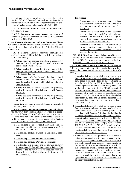closing upon the detection of smoke in accordance with Section 716.5.9.3. Waste chutes shall not terminate in an incinerator room. Waste and linen rooms that are not provided with chutes need only comply with Table 509.

**713.13.5 Incinerator room.** Incinerator rooms shall comply with Table 509.

**713.13.6 Automatic sprinkler system.** An *approved automatic sprinkler system* shall be installed in accordance with Section 903.2.11.2.

**713.14 Elevator, dumbwaiter and other hoistways.** Elevator, dumbwaiter and other hoistway enclosures shall be con-I structed in accordance with this section ((Section 713 and Chapter 30)).

- **713.14.1 General.** Elevator hoistway openings and enclosed elevator lobbies shall be provided in accordance with the following:
	- 1. Where hoistway opening protection is required by Section 713.14.2, such protection shall be in accordance with Section 713.14.3.
	- 2. Where enclosed elevator lobbies are required for underground buildings, such lobbies shall comply with Section 405.4.3.
	- 3. Where an area of refuge is required and an enclosed elevator lobby is provided to serve as an area of refuge, the enclosed elevator lobby shall comply with Section 1009.6.
	- 4. Where fire service access elevators are provided, enclosed elevator lobbies shall comply with Section 403.6.1.5.
	- 5. Where occupant evacuation elevators are provided, enclosed elevator lobbies shall comply with Section 403.6.2.6.

**Exception:** Elevators in parking garages are permitted to comply with 712.1.9.

**713.14.2 Hoistway opening protection required.** Elevator hoistway door openings shall be protected in accordance with Section 713.14.3 where an elevator hoistway connects more than three *stories*, is required to be enclosed within a shaft enclosure in accordance with Section 712.1.1, and any of the following conditions apply:

- 1. The building is not protected throughout with an *automatic sprinkler system* in accordance with Section 903.3.1.1 or 903.3.1.2.
- 2. The building contains a Group I-1 Condition 2 occupancy.
- 3. The building contains a Group I-2 occupancy.
- 4. The building contains a Group I-3 occupancy.
- 5. The building is a high rise and the elevator hoistway is more than 75 feet (22 860 mm) in height. The height of the hoistway shall be measured from the lowest floor to the highest floor of the floors served by the hoistway.

# **Exceptions:**

- 1. Protection of elevator hoistway door openings is not required where the elevator serves only open parking garages in accordance with Section 406.5.
- 2. Protection of elevator hoistway door openings is not required at the level(s) of exit discharge, provided the level(s) of exit discharge is equipped with an *automatic sprinkler system* in accordance with Section 903.3.1.1.
- 3. Enclosed elevator lobbies and protection of elevator hoistway door openings are not required on levels where the elevator hoistway opens to the exterior.

**713.14.2.1 Rated corridors.** Where *corridors* are required to be fire resistance rated in accordance with Section 1020.1, elevator hoistway openings shall be protected in accordance with Section 713.14.3.

**713.14.3 Hoistway opening protection.** Where Section 713.14.2 requires protection of the elevator hoistway door opening, the protection shall be provided by one of the following:

- 1. An enclosed elevator lobby shall be provided at each floor to separate the elevator hoistway shaft enclosure doors from each floor by fire partitions in accordance with Section 708. In addition, doors protecting openings in the elevator lobby enclosure walls shall comply with Section 716.5.3 as required for *corridor* walls and shall be automatic-closing by actuation of a smoke detector in accordance with Section 716.5.9.3. Penetrations of the enclosed elevator lobby by ducts and air transfer openings shall be protected as required for *corridors* in accordance with Section 717.5.4.1.
- 2. An enclosed elevator lobby shall be provided at each floor to separate the elevator hoistway shaft enclosure doors from each floor by smoke partitions in accordance with Section 710 where the building is equipped throughout with an *automatic sprinkler system* installed in accordance with Section 903.3.1.1 or 903.3.1.2. In addition, doors protecting openings in the smoke partitions shall comply with Sections 710.5.2.2, 710.5.2.3 and 716.5.9. Penetrations of the enclosed elevator lobby by ducts and air transfer openings shall be protected as required for *corridors*  in accordance with Section 717.5.4.1.
- 3. Additional doors shall be provided at each elevator hoistway door opening at the point of access to the elevator car. Such door shall comply with the smoke and draft control door assembly requirements in Section 716.5.3.1 when tested in accordance with UL 1784 without an artificial bottom seal. They shall be maintained automatic closing by actuation of a smoke detector in accordance with Section 716.5.9.3. Doors that latch shall be provide with panic hardware, ı openable from inside the elevator car. The doors shall be readily openable from the car

Π П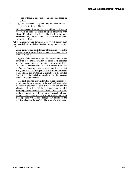- side without a key, tool, or special knowledge or effort.
- Ī I

I.

 $\mathbf{I}$ 

4. The elevator hoistway shall be pressurized in accordance with Section 909.21.

**713.14.4 Means of egress.** Elevator lobbies shall be provided with at least one means of egress complying with Chapter 10 and other provisions in this code. Egress through an elevator lobby shall be permitted in accordance with Item 1 of Section 1016.2.

**713.15 Chimneys and fireplaces.** *Approved* factory-built chimneys shall be installed within shafts as required by Section 713.

**Exception:** Factory-built chimneys that are exposed to the exterior in an *approved* manner are not required to be installed in shafts.

*Approved* chimneys serving multiple *dwelling units* are permitted to be installed within the same shaft, provided *approved* metal draft stops are installed at each floor level. All combustible construction shall be protected as required for *fire-resistance-rated* shaft construction. Interior shaft wall joints shall be fire-taped where required and where space allows, but fire-taping is permitted to be omitted from joints on the final closure wall provided the joints are installed in a tight manner.

The back of listed manufactured fireplace boxes is permitted to replace that portion of the shaft wall where they are located, provided the joint between the box and the adjacent shaft wall is tightly constructed and installed according to manufacturer's specification. Fresh air makeup ducts required by the Energy or Mechanical codes are permitted to penetrate the shaft at the fire box. Fresh air make-up ducts which pass through any portion of the building other than the shaft shall be at least 26 gage metal.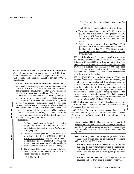**909.21 Elevator hoistway pressurization alternative.**  Where elevator hoistway pressurization is provided in lieu of required enclosed elevator lobbies, the pressurization system shall comply with Sections 909.21.1 through 909.21.8  $((909.21.11))$ .

**909.21.1 Pressurization requirements.** Elevator hoistways shall be pressurized to maintain a minimum positive pressure of 0.10 inch of water (25 Pa) and a maximum positive pressure of 0.25 inch of water (67 Pa) with respect to adjacent occupied space on all floors. This pressure shall be measured at the midpoint of each hoistway door, with all elevator cars at the floor of recall and all hoistway doors on the floor of recall open and all other hoistway doors closed. The pressure differentials shall be measured between the hoistway and the adjacent elevator landing. The opening and closing of hoistway doors at each level must be demonstrated during this test. ((The supply air intake shall be from an outside, uncontaminated source located a minimum distance of 20 feet (6096 mm) from any air exhaust system or outlet.))

**Exceptions:**

- 1. On floors containing only Group R occupancies, the pressure differential is permitted to be measured between the hoistway and a *dwelling unit*  or *sleeping unit*.
- 2. Where an elevator opens into a lobby enclosed in accordance with Section  $((3007.6 \text{ or } 3008.6))$ 403.6.1.5 or 403.6.2.6, the pressure differential is permitted to be measured between the hoistway and the space immediately outside the door(s) from the floor to the enclosed lobby.
- 3. The pressure differential is permitted to be measured relative to the outdoor atmosphere on floors other than the following:
	- 3.1. The fire floor.
- 3.2. The two floors immediately below the fire floor.
- 3.3. The floor immediately above the fire floor.
- 4. The minimum positive pressure of 0.10 inch of water (25 Pa) and a maximum positive pressure of 0.25 inch of water (67 Pa) with respect to occupied floors are not required at the floor of recall with the doors open.
- 5. Subject to the approval of the *building official* pressurization is not required for elevators in high rise buildings with less than 75 feet (22 860 mm) from the lowest floor to the highest ceiling of the *stories* served by the elevator.

**909.21.1.1 Supply air.** The supply air shall be taken from an outside, uncontaminated source located a minimum distance of 20 feet (6096 mm) from any air outlet. The supply air intake may be located within the building provided it is located no more than 20 feet (6096 mm) from major openings in the building exterior such as loading docks and vehicular entrances. There shall be no obstruction to the flow of air to the intake.

**909.21.1.2((1)) Use of ventilation systems.** Ventilation systems, other than hoistway supply air systems, are permitted to be used to exhaust air from adjacent spaces on the fire floor, two floors immediately below and one floor immediately above the fire floor to the building's exterior where necessary to maintain positive pressure relationships as required in Section 909.21.1 during operation of the elevator shaft pressurization system. Ventilation systems used to achieve hoistway pressurization are not required to comply with Section 909.21.4 and 909.21.5.

**909.21.2 ((Rational analysis**. A rational analysis comply-ing with Section 909.4 shall be submitted with the *con-struction documents*.)) No requirements.

**909.21.3 Ducts for system.** Any duct system that is part of the pressurization system shall be protected with the same *fire-resistance rating* as required for the elevator shaft enclosure.

**Interpretation I909.21:** Dampers other than motorized dampers required by the *International Energy Conservation Code* are not permitted in hoistway pressurization system supply air system unless *approved* by the *building official*.

**909.21.4 Fan system.** The fan system provided for the pressurization system shall be as required by Sections 909.21.4.1 through 909.21.4.4.

**909.21.4.1 Fire resistance.** Where located within the building, the fan system that provides the pressurization shall be protected with the same *fire-resistance rating* required for the elevator ((shaft)) hoistway enclosure.

**909.21.4.2 Smoke detection**. The fan system shall be equipped with  $((a))$  two smoke detectors  $((that will))$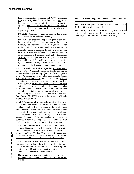located in the duct in accordance with NFPA 72 arranged to automatically shut down the fan system only when both smoke detectors activate. ((is detected within the system.)) The detectors shall be located downstream of the fan and shall be connected to the fire alarm as a supervisory signal.

**909.21.4.3 Separate systems.** A separate fan system shall be used for each elevator hoistway.

**909.21.4.4 Fan capacity.** The ((supply)) fan system shall be provided with the capacity to pressurize the elevator hoistway as determined by a registered design professional. The fan system shall be provided with a means to balance or modulate the airflow to the elevator hoistway to meet the differential pressure requirements on all floors for each condition identified by the rational analysis. ((either adjustable with a capacity of not less than 1,000 cfm (0.4719 m3/s) per door, or that specified by a *registered design professional* to meet the requirements of a designed pressurization system.))

**909.21.5 Legally required ((S))standby and emergency power.** ((The)) Pressurization systems shall be powered by an *approved* emergency or *legally required standby power system*. An *emergency power system* conforming to Section 909.11 shall be provided for pressurization systems in highrise buildings. Legally required standby power shall be provided ((with)) for the pressurization system in all other buildings. The emergency and legally required standby power shall be in accordance with Section 2702. For other than high-rise buildings, connection ahead of the service disconnecting means in accordance with Seattle Electrical Code Section 701.12(E) is permitted as a source of legally required standby power.

**909.21.6 Activation of pressurization system.** The elevator pressurization system shall be activated upon activation of either the building fire alarm system or the elevator lobby smoke detectors. Where both a building fire alarm system and elevator lobby smoke detectors are present, each shall be independently capable of activating the pressurization system. Activation of the fan serving the hoist-way is permitted to be delayed by up to 30 seconds so that elevator recall can be initiated prior to pressurizing the hoistway.

**909.21.7 Machine rooms.** Elevator machine rooms shall be pressurized in accordance with this section unless separated from the elevator hoistway by construction in accordance with Section 713. ((Testing. Testing for performance shall be required in accordance with Section 909.18.8. System acceptance shall be in accordance with Section 909.19.))

**909.21.8 Smoke control provisions.** Hoistway pressurization systems shall comply with Sections 909.10 through 909.19 in addition to Section 909.21. ((Marking and identification. Detection and control systems shall be marked in accordance with Section 909.14.

ı

 $\blacksquare$  $\mathbf{I}$ 

**Exception:** Hoistway pressurization systems in low-rise buildings are not required to comply with 9090.11 and 909.16

**909.21.9 Control diagrams.** Control diagrams shall be provided in accordance with Section 909.15.

**909.21.10Control panel.** A control panel complying with Section 909.16 shall be provided.

**909.21.11 System response time.** Hoistway pressurization systems shall comply with the requirements for smoke control system response time in Section 909.17.))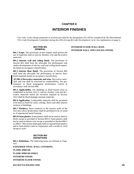# **CHAPTER 8**

# **INTERIOR FINISHES**

*User note: Code change proposals to sections preceded by the designation [F] will be considered by the International Fire Code Development Committee during the 2016 (Group B) Code Development Cycle. See explanation on page iv.*

#### **SECTION 801 GENERAL**

**801.1 Scope.** The provisions of this chapter shall govern the use of materials used as *interior finishes*, *trim* and *decorative materials*.

**801.2 Interior wall and ceiling finish.** The provisions of Section 803 shall limit the allowable fire performance and smoke development of *interior wall and ceiling finish* materials based on occupancy classification.

**801.3 Interior floor finish.** The provisions of Section 804 shall limit the allowable fire performance of *interior floor finish* materials based on occupancy classification.

**[F] 801.4 Decorative materials and trim.** *Decorative materials* and *trim* shall be restricted by combustibility, fire performance or flame propagation performance criteria in accordance with Section 806.

**801.5 Applicability.** For buildings in flood hazard areas as established in Section 1612.3, *interior finishes*, *trim* and *decorative materials* below the elevation required by Section 1612 shall be flood-damage-resistant materials.

**801.6 Application.** Combustible materials shall be permitted to be used as finish for walls, ceilings, floors and other interior surfaces of buildings.

**801.7 Windows.** Show windows in the exterior walls of the first *story above grade plane* shall be permitted to be of wood or of unprotected metal framing.

**801.8 Foam plastics.** Foam plastics shall not be used as *interior finish* except as provided in Section 803.4. Foam plastics shall not be used as interior *trim* except as provided in Section 806.5 or 2604.2. This section shall apply both to exposed foam plastics and to foam plastics used in conjunction with a textile or vinyl facing or cover.

#### **SECTION 802 DEFINITIONS**

**802.1 Definitions.** The following terms are defined in Chap $ter2$ 

**EXPANDED VINYL WALL COVERING. FLAME SPREAD. FLAME SPREAD INDEX. INTERIOR FINISH. INTERIOR FLOOR FINISH.**

# **INTERIOR FLOOR-WALL BASE. INTERIOR WALL AND CEILING FINISH.**

**2015 SEATTLE BUILDING CODE 285**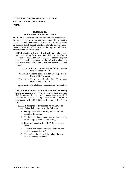# **SITE -FABRICATED STRETCH SYSTEM. SMOKE -DEVELOPED INDEX. TRIM.**

# **SECTION 803 WALL AND CEILING FINISHES**

**803.1 General.** *Interior wall and ceiling finish* materials shall be classified for fire performance and smoke development in accordance with Section 803.1.1 or 803.1.2, except as shown in Sections 803.2 through 803.13. Materials tested in accor dance with Section 803.1.2 shall not be required to be tested in accordance with Section 803.1.1.

**803.1.1 Interior wall and ceiling finish materials.** Interior wall and ceiling finish materials shall be classified in accordance with ASTM E84 or UL 723. Such *interior finish*  materials shall be grouped in the following classes in accordance with their flame spread and *smoke -developed indexes* .

- Class  $A$ : = Flame spread index 0-25; smokedeveloped index 0 -450.
- Class  $B$ : = Flame spread index 26-75; smokedeveloped index 0 -450.
- Class  $C$ : = Flame spread index 76-200; smokedeveloped index 0 -450.

**Exception:** Materials tested in accordance with Section 803.1.2.

**803.1.2 Room corner test for interior wall or ceiling finish materials.** *Interior wall or ceiling finish* materials shall be permitted to be tested in accordance with NFPA 286. Interior wall or ceiling finish materials tested in accordance with NFPA 286 shall comply with Section 803.1.2.1.

**803.1.2.1 Acceptance criteria for NFPA 286.** The interior finish shall comply with the following:

- 1. During the 40 kW exposure, flames shall not spread to the ceiling.
- 2. The flame shall not spread to the outer extremity of the sample on any wall or ceiling.
- 3. Flashover, as defined in NFPA 286, shall not occur.
- 4. The peak heat release rate throughout the test shall not exceed 800 kW.
- 5. The total smoke released throughout the test shall not exceed 1,000 m 2 .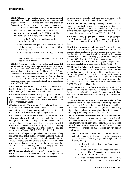**803.1.3 Room corner test for textile wall coverings and expanded vinyl wall coverings.** Textile wall coverings and expanded vinyl wall coverings shall meet the criteria of Section 803.1.3.1 when tested in the manner intended for use in accordance with the Method B protocol of NFPA 265 using the product-mounting system, including adhesive.

**803.1.3.1 Acceptance criteria for NFPA 265.** The interior finish shall comply with the following:

- 1. During the 40 kW exposure, flames shall not spread to the ceiling.
- 2. The flame shall not spread to the outer extremities of the samples on the 8-foot by 12-foot (203 by 305 mm) walls.
- 3. Flashover, as defined in NFPA 265, shall not occur.
- 4. The total smoke released throughout the test shall not exceed 1,000 m<sup>2</sup>.

**803.1.4 Acceptance criteria for textile and expanded vinyl wall or ceiling coverings tested to ASTM E84 or UL 723.** Textile wall and ceiling coverings and expanded vinyl wall and ceiling coverings shall have a Class A flame spread index in accordance with ASTM E84 or UL 723 and be protected by an *automatic sprinkler system* installed in accordance with Section 903.3.1.1 or 903.3.1.2. Test specimen preparation and mounting shall be in accordance with ASTM E2404.

**803.2 Thickness exemption.** Materials having a thickness less than 0.036 inch (0.9 mm) applied directly to the surface of walls or ceilings shall not be required to be tested.

**803.3 Heavy timber exemption.** Exposed portions of building elements complying with the requirements for buildings of Type IV construction in Section 602.4 shall not be subject to *interior finish* requirements.

**803.4 Foam plastics.** Foam plastics shall not be used as *interior finish* except as provided in Section 2603.9. This section shall apply both to exposed foam plastics and to foam plastics used in conjunction with a textile or vinyl facing or cover.

**803.5 Textile wall coverings.** Where used as interior wall finish materials, textile wall coverings, including materials having woven or nonwoven, napped, tufted, looped or similar surface and carpet and similar textile materials, shall be tested in the manner intended for use, using the product mounting system, including adhesive, and shall comply with the requirements of Section 803.1.2, 803.1.3 or 803.1.4.

**803.6 Textile ceiling coverings.** Where used as interior ceiling finish materials, textile ceiling coverings, including materials having woven or nonwoven, napped, tufted, looped or similar surface and carpet and similar textile materials, shall be tested in the manner intended for use, using the product mounting system, including adhesive, and shall comply with the requirements of Section 803.1.2 or 803.1.4.

**803.7 Expanded vinyl wall coverings.** Where used as interior wall finish materials, expanded vinyl wall coverings shall be tested in the manner intended for use, using the product

mounting system, including adhesive, and shall comply with the requirements of Section 803.1.2, 803.1.3 or 803.1.4.

**803.8 Expanded vinyl ceiling coverings.** Where used as interior ceiling finish materials, expanded vinyl ceiling coverings shall be tested in the manner intended for use, using the product mounting system, including adhesive, and shall comply with the requirements of Section 803.1.2 or 803.1.4.

**803.9 High-density polyethylene (HDPE) and polypropylene (PP).** Where high-density polyethylene or polypropylene is used as an interior finish it shall comply with Section 803.1.2.

**803.10 Site-fabricated stretch systems.** Where used as interior wall or interior ceiling finish materials, site-fabricated stretch systems containing all three components described in the definition in Chapter 2 shall be tested in the manner intended for use, and shall comply with the requirements of Section 803.1.1 or 803.1.2. If the materials are tested in accordance with ASTM E84 or UL 723, specimen preparation and mounting shall be in accordance with ASTM E2573.

**803.11 Interior finish requirements based on group.** *Interior wall and ceiling finish* shall have a flame spread index not greater than that specified in Table 803.11 for the group and location designated. *Interior wall and ceiling finish* materials tested in accordance with NFPA 286 and meeting the acceptance criteria of Section 803.1.2.1, shall be permitted to be used where a Class A classification in accordance with ASTM E84 or UL 723 is required.

**803.12 Stability.** *Interior finish* materials regulated by this chapter shall be applied or otherwise fastened in such a manner that such materials will not readily become detached where subjected to room temperatures of 200°F (93°C) for not less than 30 minutes.

**803.13 Application of interior finish materials to fireresistance-rated or noncombustible building elements.**  Where *interior finish* materials are applied on walls, ceilings or structural elements required to have a *fire-resistance rating*  or to be of noncombustible construction, these finish materials shall comply with the provisions of this section.

**803.13.1 Direct attachment and furred construction.**  Where walls and ceilings are required by any provision in this code to be of fire-resistance-rated or noncombustible construction, the *interior finish* material shall be applied directly against such construction or to furring strips not exceeding 13 /4 inches (44 mm), applied directly against such surfaces.

**803.13.1.1 Furred construction.** If the interior finish material is applied to furring strips, the intervening spaces between such furring strips shall comply with one of the following:

- 1. Be filled with material that is inorganic or noncombustible;
- 2. Be filled with material that meets the requirements of a Class A material in accordance with Section 803.1.1 or 803.1.2; or
- 3. Be fireblocked at a maximum of 8 feet (2438 mm) in every direction in accordance with Section 718.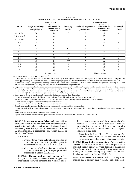|                  |                                                                  | <b>SPRINKLERED'</b>                                                         |                                  | <b>NONSPRINKLERED</b>                                            |                                                                             |                                  |  |  |
|------------------|------------------------------------------------------------------|-----------------------------------------------------------------------------|----------------------------------|------------------------------------------------------------------|-----------------------------------------------------------------------------|----------------------------------|--|--|
| <b>GROUP</b>     | Interior exit stairways<br>and ramps and exit<br>passagewaysa, b | <b>Corridors and</b><br>enclosure for exit<br>access stairways<br>and ramps | Rooms and<br>enclosed<br>spacesc | Interior exit stairways and<br>ramps and exit<br>passagewaysa, b | <b>Corridors and</b><br>enclosure for exit<br>access stairways<br>and ramps | Rooms and<br>enclosed<br>spacesc |  |  |
| $A-1 & A-2$      | B                                                                | B                                                                           | $\mathcal{C}$                    | $\mathbf{A}$                                                     | Ad                                                                          | Be                               |  |  |
| $A-3f, A-4, A-5$ | B                                                                | B                                                                           | C                                | $\mathbf{A}$                                                     | $A^d$                                                                       | $\mathsf{C}$                     |  |  |
| $B, E, M, R-1$   | B                                                                | $\mathcal{C}$                                                               | $\mathcal{C}$                    | A                                                                | B                                                                           | $\mathcal{C}$                    |  |  |
| $R-4$            | B                                                                | $\mathcal{C}$                                                               | $\mathcal{C}$                    | $\mathbf{A}$                                                     | B                                                                           | B                                |  |  |
| F                | $\mathcal{C}$                                                    | $\mathcal{C}$                                                               | $\mathcal{C}$                    | B                                                                | $\mathcal{C}$                                                               | $\mathcal{C}$                    |  |  |
| H                | B                                                                | B                                                                           | $C_g$                            | A                                                                | A                                                                           | B                                |  |  |
| $I-1$            | B                                                                | $\mathsf{C}$                                                                | $\mathcal{C}$                    | A                                                                | B                                                                           | B                                |  |  |
| $I-2$            | B                                                                | B                                                                           | B <sub>h,i</sub>                 | A                                                                | A                                                                           | B                                |  |  |
| $I-3$            | $\mathbf{A}$                                                     | Aj                                                                          | $\mathcal{C}$                    | A                                                                | A                                                                           | B                                |  |  |
| $I-4$            | B                                                                | B                                                                           | B <sub>h,i</sub>                 | $\mathbf{A}$                                                     | A                                                                           | B                                |  |  |
| $R-2$            | $\mathsf{C}$                                                     | $\mathsf{C}$                                                                | $\mathcal{C}$                    | B                                                                | B                                                                           | $\mathsf{C}$                     |  |  |
| $R-3$            | $\mathsf{C}$                                                     | $\mathcal{C}$                                                               | $\mathcal{C}$                    | $\mathsf{C}$                                                     | $\mathcal{C}$                                                               | $\mathsf{C}$                     |  |  |
| S                | $\mathsf{C}$                                                     | $\mathcal{C}$                                                               | C                                | B                                                                | B                                                                           | $\mathsf{C}$                     |  |  |
| U                |                                                                  | No restrictions                                                             |                                  | No restrictions                                                  |                                                                             |                                  |  |  |

**TABLE 803.11 INTERIOR WALL AND CEILING FINISH REQUIREMENTS BY OCCUPANCYk**

For SI: 1 inch = 25.4 mm, 1 square foot =  $0.0929$ m<sup>2</sup>.

a. Class C interior finish materials shall be permitted for wainscotting or paneling of not more than 1,000 square feet of applied surface area in the grade lobby where applied directly to a noncombustible base or over furring strips applied to a noncombustible base and fireblocked as required by Section 803.13.1.

b. In other than Group I-3 occupancies in buildings less than three *stories above grade plane*, Class B interior finish for nonsprinklered buildings and Class C interior finish for sprinklered buildings shall be permitted in interior exit stairways and ramps.

c. Requirements for rooms and enclosed spaces shall be based upon spaces enclosed by partitions. Where a fire-resistance rating is required for structural elements, the enclosing partitions shall extend from the floor to the ceiling. Partitions that do not comply with this shall be considered enclosing spaces and the rooms or spaces on both sides shall be considered one. In determining the applicable requirements for rooms and enclosed spaces, the specific occupancy thereof shall be the governing factor regardless of the group classification of the building or structure.

d. Lobby areas in Group A-1, A-2 and A-3 occupancies shall not be less than Class B materials.

e. Class C interior finish materials shall be permitted in places of assembly with an occupant load of 300 persons or less.

f. For places of religious worship, wood used for ornamental purposes, trusses, paneling or chancel furnishing shall be permitted.

g. Class B material is required where the building exceeds two *stories*.

h. Class C interior finish materials shall be permitted in administrative spaces.

i. Class C interior finish materials shall be permitted in rooms with a capacity of four persons or less.

j. Class B materials shall be permitted as wainscotting extending not more than 48 inches above the finished floor in corridors and exit access stairways and ramps.

k. Finish materials as provided for in other sections of this code.

l. Applies when protected by an automatic sprinkler system installed in accordance with Section 903.3.1.1 or 903.3.1.2.

**803.13.2 Set-out construction.** Where walls and ceilings are required to be of fire-resistance-rated or noncombustible construction and walls are set out or ceilings are dropped distances greater than specified in Section 803.13.1, Class A finish materials, in accordance with Section 803.1.1 or 803.1.2, shall be used.

#### **Exceptions:**

- 1. Where *interior finish* materials are protected on both sides by an *automatic sprinkler system* in accordance with Section 903.3.1.1 or 903.3.1.2.
- 2. Where *interior finish* materials are attached to noncombustible backing or furring strips installed as specified in Section 803.13.1.1.

**803.13.2.1 Hangers and assembly members.** The hangers and assembly members of such dropped ceilings that are below the horizontal fire-resistance-rated

floor or roof assemblies shall be of noncombustible materials. The construction of each set-out wall and horizontal fire-resistance-rated floor or roof assembly shall be of fire-resistance-rated construction as required elsewhere in this code.

**Exception:** In Type III and V construction, *fireretardant-treated wood* shall be permitted for use as hangers and assembly members of dropped ceilings.

**803.13.3 Heavy timber construction.** Wall and ceiling finishes of all classes as permitted in this chapter that are installed directly against the wood decking or planking of Type IV construction or to wood furring strips applied directly to the wood decking or planking shall be fireblocked as specified in Section 803.13.1.1.

**803.13.4 Materials.** An interior wall or ceiling finish material that is not more than  $\frac{1}{4}$  inch (6.4 mm) thick shall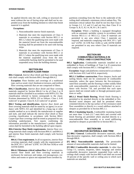be applied directly onto the wall, ceiling or structural element without the use of furring strips and shall not be suspended away from the building element to which that finish material it is applied.

#### **Exceptions:**

- 1. Noncombustible interior finish materials.
- 2. Materials that meet the requirements of Class A materials in accordance with Section 803.1.1 or 803.1.2 where the qualifying tests were made with the material furred out from the noncombustible backing shall be permitted to be used with furring strips.
- 3. Materials that meet the requirements of Class A materials in accordance with Section 803.1.1 or 803.1.2 where the qualifying tests were made with the material suspended away from the noncombustible backing shall be permitted to be used suspended away from the building element.

# **SECTION 804 INTERIOR FLOOR FINISH**

**804.1 General.** *Interior floor finish* and floor covering materials shall comply with Sections 804.2 through 804.4.2.

**Exception:** Floor finishes and coverings of a traditional type, such as wood, vinyl, linoleum or terrazzo, and resilient floor covering materials that are not comprised of fibers.

**804.2 Classification.** *Interior floor finish* and floor covering materials required by Section 804.4.2 to be of Class I or II materials shall be classified in accordance with NFPA 253. The classification referred to herein corresponds to the classifications determined by NFPA 253 as follows: Class I, 0.45 watts/cm<sup>2</sup> or greater; Class II, 0.22 watts/cm<sup>2</sup> or greater.

**804.3 Testing and identification.** *Interior floor finish* and floor covering materials shall be tested by an agency in accordance with NFPA 253 and identified by a hang tag or other suitable method so as to identify the manufacturer or supplier and style, and shall indicate the *interior floor finish* or floor covering classification in accordance with Section 804.2. Carpet-type floor coverings shall be tested as proposed for use, including underlayment. Test reports confirming the information provided in the manufacturer's product identification shall be furnished to the *building official* upon request.

**804.4 Interior floor finish requirements.** Interior floor covering materials shall comply with Sections 804.4.1 and 804.4.2 and interior floor finish materials shall comply with Section 804.4.2.

**804.4.1 Test requirement.** In all occupancies, interior floor covering materials shall comply with the requirements of the DOC FF-1 "pill test" (CPSC 16 CFR Part 1630) or with ASTM D2859.

**804.4.2 Minimum critical radiant flux.** In all occupancies, interior floor finish and floor covering materials in enclosures for stairways and ramps, *exit passageways*, corridors and rooms or spaces not separated from corridors by

partitions extending from the floor to the underside of the ceiling shall withstand a minimum critical radiant flux. The minimum critical radiant flux shall be not less than Class I in Groups I-1, I-2 and I-3 and not less than Class II in Groups A, B, E, H, I-4, M, R-1, R-2 and S.

**Exception:** Where a building is equipped throughout with an automatic sprinkler system in accordance with Section 903.3.1.1 or 903.3.1.2, Class II materials are permitted in any area where Class I materials are required, and materials complying with DOC FF-1 "pill test" (CPSC 16 CFR Part 1630) or with ASTM D2859 are permitted in any area where Class II materials are required.

#### **SECTION 805 COMBUSTIBLE MATERIALS IN TYPES I AND II CONSTRUCTION**

**805.1 Application.** Combustible materials installed on or embedded in floors of buildings of Type I or II construction shall comply with Sections 805.1.1 through 805.1.3.

**Exception:** Stages and platforms constructed in accordance with Sections 410.3 and 410.4, respectively.

**805.1.1 Subfloor construction.** Floor sleepers, bucks and nailing blocks shall not be constructed of combustible materials, unless the space between the fire-resistancerated floor assembly and the flooring is either solidly filled with noncombustible materials or fireblocked in accordance with Section 718, and provided that such open spaces shall not extend under or through permanent partitions or walls.

**805.1.2 Wood finish flooring.** Wood finish flooring is permitted to be attached directly to the embedded or fireblocked wood sleepers and shall be permitted where cemented directly to the top surface of fire-resistance-rated floor assemblies or directly to a wood subfloor attached to sleepers as provided for in Section 805.1.1.

**805.1.3 Insulating boards.** Combustible insulating boards not more than  $\frac{1}{2}$  inch (12.7 mm) thick and covered with finish flooring are permitted where attached directly to a noncombustible floor assembly or to wood subflooring attached to sleepers as provided for in Section 805.1.1.

# **SECTION 806 DECORATIVE MATERIALS AND TRIM**

**[F] 806.1 General.** Combustible decorative materials, other than decorative vegetation, shall comply with Sections 806.2 through 806.8.

**[F] 806.2 Noncombustible materials.** The permissible amount of noncombustible materials shall not be limited.

**[F] 806.3 Combustible decorative materials.** In other than Group I-3, curtains, draperies, fabric hangings and similar combustible decorative materials suspended from walls or ceilings shall comply with Section 806.4 and shall not exceed 10 percent of the specific wall or ceiling area to which such materials are attached.